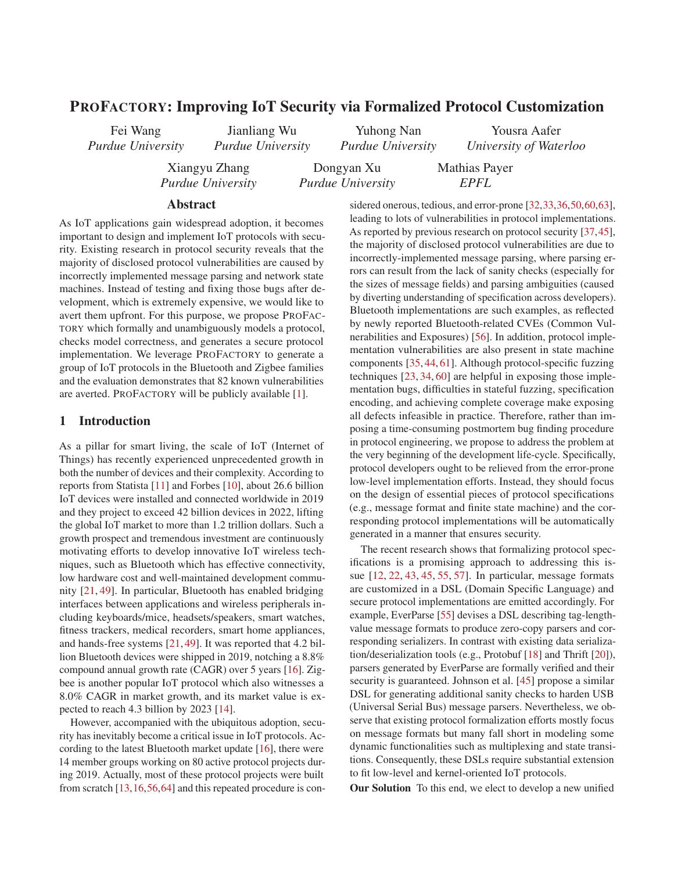# PROFACTORY: Improving IoT Security via Formalized Protocol Customization

Fei Wang *Purdue University*

*Purdue University*

*Purdue University*

Yousra Aafer

Mathias Payer *EPFL*

*University of Waterloo*

Xiangyu Zhang *Purdue University*

Jianliang Wu

Dongyan Xu *Purdue University*

Yuhong Nan

Abstract

As IoT applications gain widespread adoption, it becomes important to design and implement IoT protocols with security. Existing research in protocol security reveals that the majority of disclosed protocol vulnerabilities are caused by incorrectly implemented message parsing and network state machines. Instead of testing and fixing those bugs after development, which is extremely expensive, we would like to avert them upfront. For this purpose, we propose PROFAC-TORY which formally and unambiguously models a protocol, checks model correctness, and generates a secure protocol implementation. We leverage PROFACTORY to generate a group of IoT protocols in the Bluetooth and Zigbee families and the evaluation demonstrates that 82 known vulnerabilities are averted. PROFACTORY will be publicly available [1].

#### 1 Introduction

As a pillar for smart living, the scale of IoT (Internet of Things) has recently experienced unprecedented growth in both the number of devices and their complexity. According to reports from Statista [11] and Forbes [10], about 26.6 billion IoT devices were installed and connected worldwide in 2019 and they project to exceed 42 billion devices in 2022, lifting the global IoT market to more than 1.2 trillion dollars. Such a growth prospect and tremendous investment are continuously motivating efforts to develop innovative IoT wireless techniques, such as Bluetooth which has effective connectivity, low hardware cost and well-maintained development community [21, 49]. In particular, Bluetooth has enabled bridging interfaces between applications and wireless peripherals including keyboards/mice, headsets/speakers, smart watches, fitness trackers, medical recorders, smart home appliances, and hands-free systems [21, 49]. It was reported that 4.2 billion Bluetooth devices were shipped in 2019, notching a 8.8% compound annual growth rate (CAGR) over 5 years [16]. Zigbee is another popular IoT protocol which also witnesses a 8.0% CAGR in market growth, and its market value is expected to reach 4.3 billion by 2023 [14].

However, accompanied with the ubiquitous adoption, security has inevitably become a critical issue in IoT protocols. According to the latest Bluetooth market update [16], there were 14 member groups working on 80 active protocol projects during 2019. Actually, most of these protocol projects were built from scratch [13,16,56,64] and this repeated procedure is considered onerous, tedious, and error-prone [32,33,36,50,60,63], leading to lots of vulnerabilities in protocol implementations. As reported by previous research on protocol security [37,45], the majority of disclosed protocol vulnerabilities are due to incorrectly-implemented message parsing, where parsing errors can result from the lack of sanity checks (especially for the sizes of message fields) and parsing ambiguities (caused by diverting understanding of specification across developers). Bluetooth implementations are such examples, as reflected by newly reported Bluetooth-related CVEs (Common Vulnerabilities and Exposures) [56]. In addition, protocol implementation vulnerabilities are also present in state machine components [35, 44, 61]. Although protocol-specific fuzzing techniques [23, 34, 60] are helpful in exposing those implementation bugs, difficulties in stateful fuzzing, specification encoding, and achieving complete coverage make exposing all defects infeasible in practice. Therefore, rather than imposing a time-consuming postmortem bug finding procedure in protocol engineering, we propose to address the problem at the very beginning of the development life-cycle. Specifically, protocol developers ought to be relieved from the error-prone low-level implementation efforts. Instead, they should focus on the design of essential pieces of protocol specifications (e.g., message format and finite state machine) and the corresponding protocol implementations will be automatically generated in a manner that ensures security.

The recent research shows that formalizing protocol specifications is a promising approach to addressing this issue [12, 22, 43, 45, 55, 57]. In particular, message formats are customized in a DSL (Domain Specific Language) and secure protocol implementations are emitted accordingly. For example, EverParse [55] devises a DSL describing tag-lengthvalue message formats to produce zero-copy parsers and corresponding serializers. In contrast with existing data serialization/deserialization tools (e.g., Protobuf [18] and Thrift [20]), parsers generated by EverParse are formally verified and their security is guaranteed. Johnson et al. [45] propose a similar DSL for generating additional sanity checks to harden USB (Universal Serial Bus) message parsers. Nevertheless, we observe that existing protocol formalization efforts mostly focus on message formats but many fall short in modeling some dynamic functionalities such as multiplexing and state transitions. Consequently, these DSLs require substantial extension to fit low-level and kernel-oriented IoT protocols.

Our Solution To this end, we elect to develop a new unified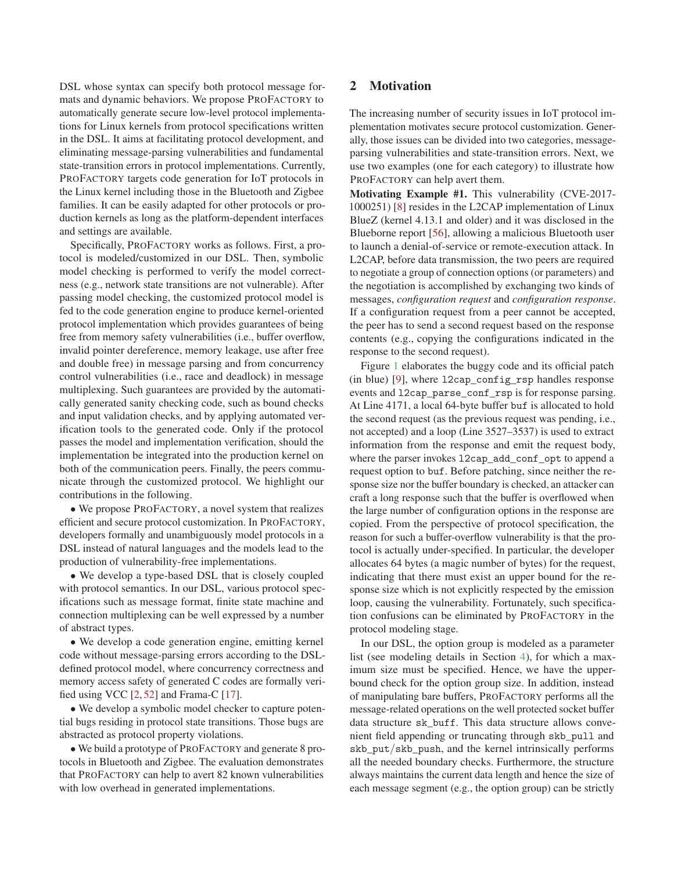DSL whose syntax can specify both protocol message formats and dynamic behaviors. We propose PROFACTORY to automatically generate secure low-level protocol implementations for Linux kernels from protocol specifications written in the DSL. It aims at facilitating protocol development, and eliminating message-parsing vulnerabilities and fundamental state-transition errors in protocol implementations. Currently, PROFACTORY targets code generation for IoT protocols in the Linux kernel including those in the Bluetooth and Zigbee families. It can be easily adapted for other protocols or production kernels as long as the platform-dependent interfaces and settings are available.

Specifically, PROFACTORY works as follows. First, a protocol is modeled/customized in our DSL. Then, symbolic model checking is performed to verify the model correctness (e.g., network state transitions are not vulnerable). After passing model checking, the customized protocol model is fed to the code generation engine to produce kernel-oriented protocol implementation which provides guarantees of being free from memory safety vulnerabilities (i.e., buffer overflow, invalid pointer dereference, memory leakage, use after free and double free) in message parsing and from concurrency control vulnerabilities (i.e., race and deadlock) in message multiplexing. Such guarantees are provided by the automatically generated sanity checking code, such as bound checks and input validation checks, and by applying automated verification tools to the generated code. Only if the protocol passes the model and implementation verification, should the implementation be integrated into the production kernel on both of the communication peers. Finally, the peers communicate through the customized protocol. We highlight our contributions in the following.

• We propose PROFACTORY, a novel system that realizes efficient and secure protocol customization. In PROFACTORY, developers formally and unambiguously model protocols in a DSL instead of natural languages and the models lead to the production of vulnerability-free implementations.

• We develop a type-based DSL that is closely coupled with protocol semantics. In our DSL, various protocol specifications such as message format, finite state machine and connection multiplexing can be well expressed by a number of abstract types.

• We develop a code generation engine, emitting kernel code without message-parsing errors according to the DSLdefined protocol model, where concurrency correctness and memory access safety of generated C codes are formally verified using VCC [2, 52] and Frama-C [17].

• We develop a symbolic model checker to capture potential bugs residing in protocol state transitions. Those bugs are abstracted as protocol property violations.

• We build a prototype of PROFACTORY and generate 8 protocols in Bluetooth and Zigbee. The evaluation demonstrates that PROFACTORY can help to avert 82 known vulnerabilities with low overhead in generated implementations.

## 2 Motivation

The increasing number of security issues in IoT protocol implementation motivates secure protocol customization. Generally, those issues can be divided into two categories, messageparsing vulnerabilities and state-transition errors. Next, we use two examples (one for each category) to illustrate how PROFACTORY can help avert them.

Motivating Example #1. This vulnerability (CVE-2017- 1000251) [8] resides in the L2CAP implementation of Linux BlueZ (kernel 4.13.1 and older) and it was disclosed in the Blueborne report [56], allowing a malicious Bluetooth user to launch a denial-of-service or remote-execution attack. In L2CAP, before data transmission, the two peers are required to negotiate a group of connection options (or parameters) and the negotiation is accomplished by exchanging two kinds of messages, *configuration request* and *configuration response*. If a configuration request from a peer cannot be accepted, the peer has to send a second request based on the response contents (e.g., copying the configurations indicated in the response to the second request).

Figure 1 elaborates the buggy code and its official patch (in blue) [9], where l2cap\_config\_rsp handles response events and l2cap\_parse\_conf\_rsp is for response parsing. At Line 4171, a local 64-byte buffer buf is allocated to hold the second request (as the previous request was pending, i.e., not accepted) and a loop (Line 3527–3537) is used to extract information from the response and emit the request body, where the parser invokes 12cap\_add\_conf\_opt to append a request option to buf. Before patching, since neither the response size nor the buffer boundary is checked, an attacker can craft a long response such that the buffer is overflowed when the large number of configuration options in the response are copied. From the perspective of protocol specification, the reason for such a buffer-overflow vulnerability is that the protocol is actually under-specified. In particular, the developer allocates 64 bytes (a magic number of bytes) for the request, indicating that there must exist an upper bound for the response size which is not explicitly respected by the emission loop, causing the vulnerability. Fortunately, such specification confusions can be eliminated by PROFACTORY in the protocol modeling stage.

In our DSL, the option group is modeled as a parameter list (see modeling details in Section 4), for which a maximum size must be specified. Hence, we have the upperbound check for the option group size. In addition, instead of manipulating bare buffers, PROFACTORY performs all the message-related operations on the well protected socket buffer data structure sk buff. This data structure allows convenient field appending or truncating through skb\_pull and skb put/skb push, and the kernel intrinsically performs all the needed boundary checks. Furthermore, the structure always maintains the current data length and hence the size of each message segment (e.g., the option group) can be strictly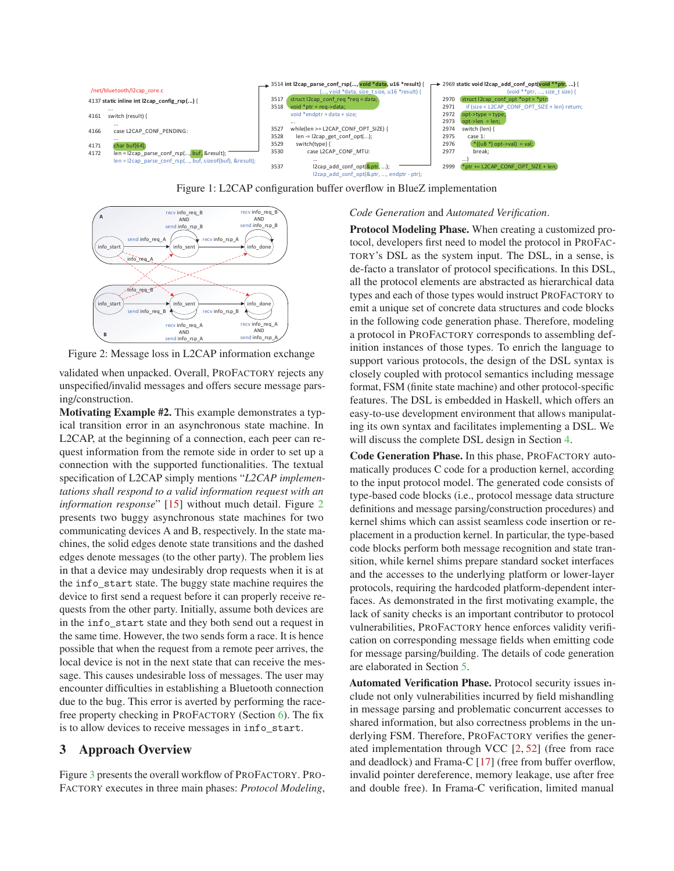

Figure 1: L2CAP configuration buffer overflow in BlueZ implementation



Figure 2: Message loss in L2CAP information exchange

validated when unpacked. Overall, PROFACTORY rejects any unspecified/invalid messages and offers secure message parsing/construction.

Motivating Example #2. This example demonstrates a typical transition error in an asynchronous state machine. In L2CAP, at the beginning of a connection, each peer can request information from the remote side in order to set up a connection with the supported functionalities. The textual specification of L2CAP simply mentions "*L2CAP implementations shall respond to a valid information request with an information response*" [15] without much detail. Figure 2 presents two buggy asynchronous state machines for two communicating devices A and B, respectively. In the state machines, the solid edges denote state transitions and the dashed edges denote messages (to the other party). The problem lies in that a device may undesirably drop requests when it is at the info\_start state. The buggy state machine requires the device to first send a request before it can properly receive requests from the other party. Initially, assume both devices are in the info\_start state and they both send out a request in the same time. However, the two sends form a race. It is hence possible that when the request from a remote peer arrives, the local device is not in the next state that can receive the message. This causes undesirable loss of messages. The user may encounter difficulties in establishing a Bluetooth connection due to the bug. This error is averted by performing the racefree property checking in PROFACTORY (Section 6). The fix is to allow devices to receive messages in info\_start.

## 3 Approach Overview

Figure 3 presents the overall workflow of PROFACTORY. PRO-FACTORY executes in three main phases: *Protocol Modeling*,

#### *Code Generation* and *Automated Verification*.

Protocol Modeling Phase. When creating a customized protocol, developers first need to model the protocol in PROFAC-TORY's DSL as the system input. The DSL, in a sense, is de-facto a translator of protocol specifications. In this DSL, all the protocol elements are abstracted as hierarchical data types and each of those types would instruct PROFACTORY to emit a unique set of concrete data structures and code blocks in the following code generation phase. Therefore, modeling a protocol in PROFACTORY corresponds to assembling definition instances of those types. To enrich the language to support various protocols, the design of the DSL syntax is closely coupled with protocol semantics including message format, FSM (finite state machine) and other protocol-specific features. The DSL is embedded in Haskell, which offers an easy-to-use development environment that allows manipulating its own syntax and facilitates implementing a DSL. We will discuss the complete DSL design in Section 4.

Code Generation Phase. In this phase, PROFACTORY automatically produces C code for a production kernel, according to the input protocol model. The generated code consists of type-based code blocks (i.e., protocol message data structure definitions and message parsing/construction procedures) and kernel shims which can assist seamless code insertion or replacement in a production kernel. In particular, the type-based code blocks perform both message recognition and state transition, while kernel shims prepare standard socket interfaces and the accesses to the underlying platform or lower-layer protocols, requiring the hardcoded platform-dependent interfaces. As demonstrated in the first motivating example, the lack of sanity checks is an important contributor to protocol vulnerabilities, PROFACTORY hence enforces validity verification on corresponding message fields when emitting code for message parsing/building. The details of code generation are elaborated in Section 5.

Automated Verification Phase. Protocol security issues include not only vulnerabilities incurred by field mishandling in message parsing and problematic concurrent accesses to shared information, but also correctness problems in the underlying FSM. Therefore, PROFACTORY verifies the generated implementation through VCC [2, 52] (free from race and deadlock) and Frama-C [17] (free from buffer overflow, invalid pointer dereference, memory leakage, use after free and double free). In Frama-C verification, limited manual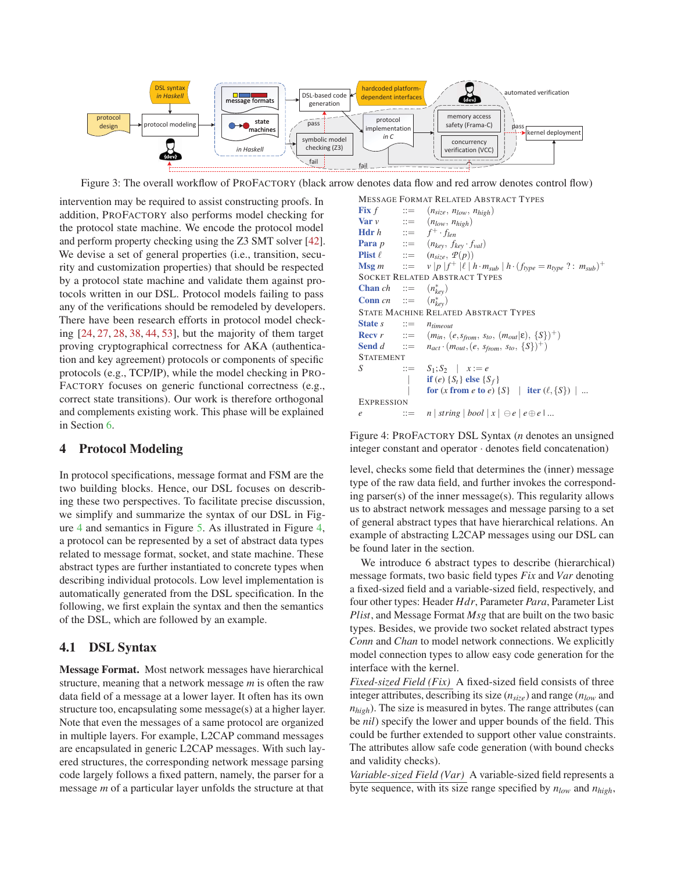

Figure 3: The overall workflow of PROFACTORY (black arrow denotes data flow and red arrow denotes control flow)

intervention may be required to assist constructing proofs. In addition, PROFACTORY also performs model checking for the protocol state machine. We encode the protocol model and perform property checking using the Z3 SMT solver [42]. We devise a set of general properties (i.e., transition, security and customization properties) that should be respected by a protocol state machine and validate them against protocols written in our DSL. Protocol models failing to pass any of the verifications should be remodeled by developers. There have been research efforts in protocol model checking [24, 27, 28, 38, 44, 53], but the majority of them target proving cryptographical correctness for AKA (authentication and key agreement) protocols or components of specific protocols (e.g., TCP/IP), while the model checking in PRO-FACTORY focuses on generic functional correctness (e.g., correct state transitions). Our work is therefore orthogonal and complements existing work. This phase will be explained in Section 6.

#### 4 Protocol Modeling

In protocol specifications, message format and FSM are the two building blocks. Hence, our DSL focuses on describing these two perspectives. To facilitate precise discussion, we simplify and summarize the syntax of our DSL in Figure 4 and semantics in Figure 5. As illustrated in Figure 4, a protocol can be represented by a set of abstract data types related to message format, socket, and state machine. These abstract types are further instantiated to concrete types when describing individual protocols. Low level implementation is automatically generated from the DSL specification. In the following, we first explain the syntax and then the semantics of the DSL, which are followed by an example.

### 4.1 DSL Syntax

Message Format. Most network messages have hierarchical structure, meaning that a network message *m* is often the raw data field of a message at a lower layer. It often has its own structure too, encapsulating some message(s) at a higher layer. Note that even the messages of a same protocol are organized in multiple layers. For example, L2CAP command messages are encapsulated in generic L2CAP messages. With such layered structures, the corresponding network message parsing code largely follows a fixed pattern, namely, the parser for a message *m* of a particular layer unfolds the structure at that

MESSAGE FORMAT RELATED ABSTRACT TYPES **Fix**  $f$  ::=  $(n_{size}, n_{low}, n_{high})$ **Var** *v*  $::= (n_{low}, n_{high})$ <br> **Hdr** *h*  $::= f^{\dagger} \cdot f_{len}$ **Hdr** *h* ::=  $f^+ \cdot f_{len}$ <br>**Para** *p* ::=  $(n_{key}, f)$  $\begin{array}{rcl} ::= & (n_{key}, f_{key} \cdot f_{val}) \\ ::= & (n_{size}, \mathcal{P}(p)) \end{array}$ Plist  $\ell$  $(n_{size}, \mathcal{P}(p))$ **Msg** *m*  $\qquad ::= v | p | f^+ | \ell | h \cdot m_{sub} | h \cdot (f_{type} = n_{type} ? : m_{sub})^+$ SOCKET RELATED ABSTRACT TYPES Chan  $ch$  ::=  $(n_{kev}^*)$ Conn *cn* ::=  $(n_{key}^*)$ STATE MACHINE RELATED ABSTRACT TYPES State *s*  $::= n_{timeout}$ <br>**Recv** *r*  $::= (m_{in}, (m_{in})$ **Recv** *r* ::=  $(m_{in}, (e, s_{from}, s_{to}, (m_{out}|\epsilon), \{S\})^+)$ <br>**Send** *d* ::=  $n_{act} \cdot (m_{out}, (e, s_{from}, s_{to}, \{S\})^+)$  $n_{act} \cdot (m_{out}, (e, s_{from}, s_{to}, \{S\})^+)$ STATEMENT *S* ::=  $S_1; S_2 | x := e$ if (*e*)  $\{S_t\}$  else  $\{S_f\}$  $\int$  for (*x* from *e* to *e*) {*S*} | iter (*l*, {*S*}) | ... **EXPRESSION**  $e$  ::= *n* | *string* | *bool*  $|x| \ominus e | e \oplus e | ...$ 

Figure 4: PROFACTORY DSL Syntax (*n* denotes an unsigned integer constant and operator · denotes field concatenation)

level, checks some field that determines the (inner) message type of the raw data field, and further invokes the corresponding parser(s) of the inner message(s). This regularity allows us to abstract network messages and message parsing to a set of general abstract types that have hierarchical relations. An example of abstracting L2CAP messages using our DSL can be found later in the section.

We introduce 6 abstract types to describe (hierarchical) message formats, two basic field types *Fix* and *Var* denoting a fixed-sized field and a variable-sized field, respectively, and four other types: Header *Hdr*, Parameter *Para*, Parameter List *Plist*, and Message Format *Msg* that are built on the two basic types. Besides, we provide two socket related abstract types *Conn* and *Chan* to model network connections. We explicitly model connection types to allow easy code generation for the interface with the kernel.

*Fixed-sized Field (Fix)* A fixed-sized field consists of three integer attributes, describing its size (*nsize*) and range (*nlow* and *nhigh*). The size is measured in bytes. The range attributes (can be *nil*) specify the lower and upper bounds of the field. This could be further extended to support other value constraints. The attributes allow safe code generation (with bound checks and validity checks).

*Variable-sized Field (Var)* A variable-sized field represents a byte sequence, with its size range specified by *nlow* and *nhigh*,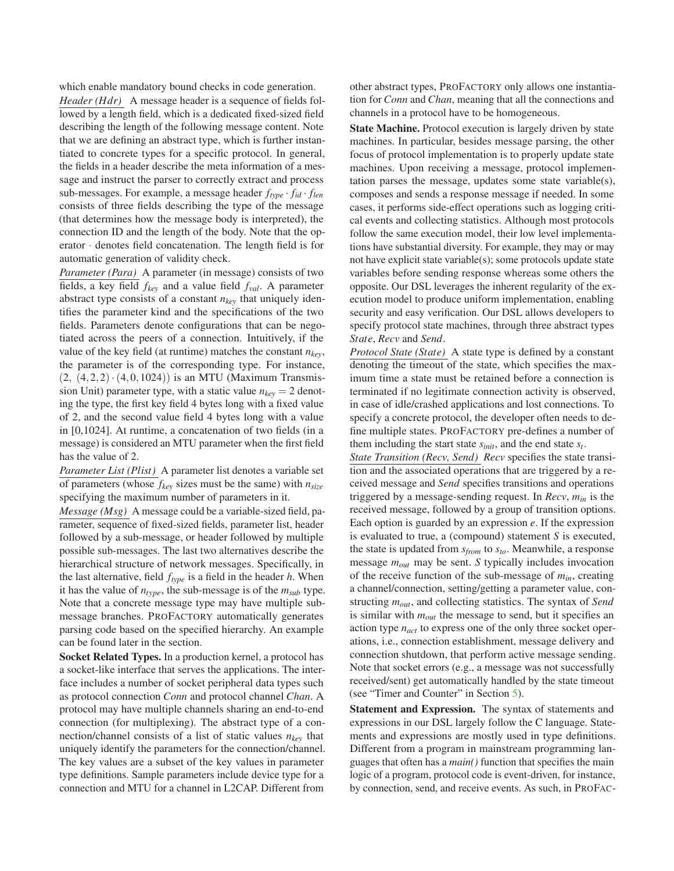which enable mandatory bound checks in code generation.

*Header (Hdr)* A message header is a sequence of fields followed by a length field, which is a dedicated fixed-sized field describing the length of the following message content. Note that we are defining an abstract type, which is further instantiated to concrete types for a specific protocol. In general, the fields in a header describe the meta information of a message and instruct the parser to correctly extract and process sub-messages. For example, a message header *ftype* · *fid* · *flen* consists of three fields describing the type of the message (that determines how the message body is interpreted), the connection ID and the length of the body. Note that the operator · denotes field concatenation. The length field is for automatic generation of validity check.

*Parameter (Para)* A parameter (in message) consists of two fields, a key field  $f_{key}$  and a value field  $f_{val}$ . A parameter abstract type consists of a constant *nkey* that uniquely identifies the parameter kind and the specifications of the two fields. Parameters denote configurations that can be negotiated across the peers of a connection. Intuitively, if the value of the key field (at runtime) matches the constant  $n_{key}$ , the parameter is of the corresponding type. For instance,  $(2, (4,2,2) \cdot (4,0,1024))$  is an MTU (Maximum Transmission Unit) parameter type, with a static value  $n_{key} = 2$  denoting the type, the first key field 4 bytes long with a fixed value of 2, and the second value field 4 bytes long with a value in [0,1024]. At runtime, a concatenation of two fields (in a message) is considered an MTU parameter when the first field has the value of 2.

*Parameter List (Plist)* A parameter list denotes a variable set of parameters (whose *fkey* sizes must be the same) with *nsize* specifying the maximum number of parameters in it.

*Message (Msg)* A message could be a variable-sized field, parameter, sequence of fixed-sized fields, parameter list, header followed by a sub-message, or header followed by multiple possible sub-messages. The last two alternatives describe the hierarchical structure of network messages. Specifically, in the last alternative, field  $f_{type}$  is a field in the header *h*. When it has the value of  $n_{type}$ , the sub-message is of the  $m_{sub}$  type. Note that a concrete message type may have multiple submessage branches. PROFACTORY automatically generates parsing code based on the specified hierarchy. An example can be found later in the section.

Socket Related Types. In a production kernel, a protocol has a socket-like interface that serves the applications. The interface includes a number of socket peripheral data types such as protocol connection *Conn* and protocol channel *Chan*. A protocol may have multiple channels sharing an end-to-end connection (for multiplexing). The abstract type of a connection/channel consists of a list of static values *nkey* that uniquely identify the parameters for the connection/channel. The key values are a subset of the key values in parameter type definitions. Sample parameters include device type for a connection and MTU for a channel in L2CAP. Different from

other abstract types, PROFACTORY only allows one instantiation for *Conn* and *Chan*, meaning that all the connections and channels in a protocol have to be homogeneous.

State Machine. Protocol execution is largely driven by state machines. In particular, besides message parsing, the other focus of protocol implementation is to properly update state machines. Upon receiving a message, protocol implementation parses the message, updates some state variable(s), composes and sends a response message if needed. In some cases, it performs side-effect operations such as logging critical events and collecting statistics. Although most protocols follow the same execution model, their low level implementations have substantial diversity. For example, they may or may not have explicit state variable(s); some protocols update state variables before sending response whereas some others the opposite. Our DSL leverages the inherent regularity of the execution model to produce uniform implementation, enabling security and easy verification. Our DSL allows developers to specify protocol state machines, through three abstract types *State*, *Recv* and *Send*.

*Protocol State (State)* A state type is defined by a constant denoting the timeout of the state, which specifies the maximum time a state must be retained before a connection is terminated if no legitimate connection activity is observed, in case of idle/crashed applications and lost connections. To specify a concrete protocol, the developer often needs to define multiple states. PROFACTORY pre-defines a number of them including the start state *sinit*, and the end state *st*.

*State Transition (Recv, Send) Recv* specifies the state transition and the associated operations that are triggered by a received message and *Send* specifies transitions and operations triggered by a message-sending request. In *Recv*, *min* is the received message, followed by a group of transition options. Each option is guarded by an expression *e*. If the expression is evaluated to true, a (compound) statement *S* is executed, the state is updated from *sfrom* to *sto*. Meanwhile, a response message *mout* may be sent. *S* typically includes invocation of the receive function of the sub-message of *min*, creating a channel/connection, setting/getting a parameter value, constructing *mout*, and collecting statistics. The syntax of *Send* is similar with *mout* the message to send, but it specifies an action type *nact* to express one of the only three socket operations, i.e., connection establishment, message delivery and connection shutdown, that perform active message sending. Note that socket errors (e.g., a message was not successfully received/sent) get automatically handled by the state timeout (see "Timer and Counter" in Section 5).

Statement and Expression. The syntax of statements and expressions in our DSL largely follow the C language. Statements and expressions are mostly used in type definitions. Different from a program in mainstream programming languages that often has a *main()* function that specifies the main logic of a program, protocol code is event-driven, for instance, by connection, send, and receive events. As such, in PROFAC-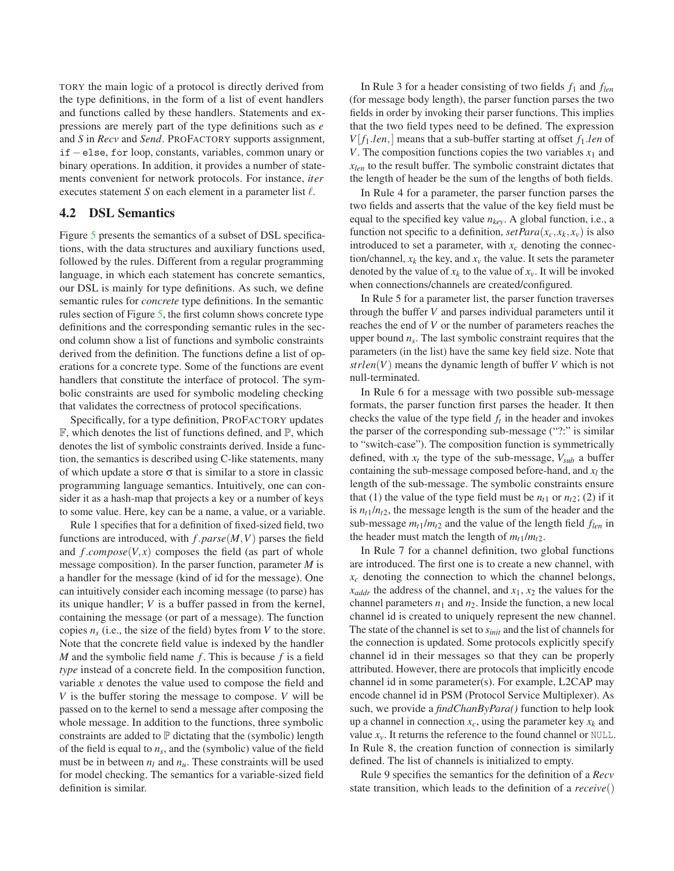TORY the main logic of a protocol is directly derived from the type definitions, in the form of a list of event handlers and functions called by these handlers. Statements and expressions are merely part of the type definitions such as *e* and *S* in *Recv* and *Send*. PROFACTORY supports assignment, if−else, for loop, constants, variables, common unary or binary operations. In addition, it provides a number of statements convenient for network protocols. For instance, *iter* executes statement  $S$  on each element in a parameter list  $\ell$ .

#### 4.2 DSL Semantics

Figure 5 presents the semantics of a subset of DSL specifications, with the data structures and auxiliary functions used, followed by the rules. Different from a regular programming language, in which each statement has concrete semantics, our DSL is mainly for type definitions. As such, we define semantic rules for *concrete* type definitions. In the semantic rules section of Figure 5, the first column shows concrete type definitions and the corresponding semantic rules in the second column show a list of functions and symbolic constraints derived from the definition. The functions define a list of operations for a concrete type. Some of the functions are event handlers that constitute the interface of protocol. The symbolic constraints are used for symbolic modeling checking that validates the correctness of protocol specifications.

Specifically, for a type definition, PROFACTORY updates  $\mathbb F$ , which denotes the list of functions defined, and  $\mathbb P$ , which denotes the list of symbolic constraints derived. Inside a function, the semantics is described using C-like statements, many of which update a store  $\sigma$  that is similar to a store in classic programming language semantics. Intuitively, one can consider it as a hash-map that projects a key or a number of keys to some value. Here, key can be a name, a value, or a variable.

Rule 1 specifies that for a definition of fixed-sized field, two functions are introduced, with *f*.*parse*(*M*,*V*) parses the field and  $f$ .*compose*( $V$ , $x$ ) composes the field (as part of whole message composition). In the parser function, parameter *M* is a handler for the message (kind of id for the message). One can intuitively consider each incoming message (to parse) has its unique handler; *V* is a buffer passed in from the kernel, containing the message (or part of a message). The function copies  $n<sub>s</sub>$  (i.e., the size of the field) bytes from *V* to the store. Note that the concrete field value is indexed by the handler *M* and the symbolic field name  $f$ . This is because  $f$  is a field *type* instead of a concrete field. In the composition function, variable *x* denotes the value used to compose the field and *V* is the buffer storing the message to compose. *V* will be passed on to the kernel to send a message after composing the whole message. In addition to the functions, three symbolic constraints are added to  $\mathbb P$  dictating that the (symbolic) length of the field is equal to  $n<sub>s</sub>$ , and the (symbolic) value of the field must be in between  $n_l$  and  $n_u$ . These constraints will be used for model checking. The semantics for a variable-sized field definition is similar.

In Rule 3 for a header consisting of two fields *f*<sup>1</sup> and *flen* (for message body length), the parser function parses the two fields in order by invoking their parser functions. This implies that the two field types need to be defined. The expression  $V[f_1.len]$  means that a sub-buffer starting at offset  $f_1.len$  of *V*. The composition functions copies the two variables  $x_1$  and *xlen* to the result buffer. The symbolic constraint dictates that the length of header be the sum of the lengths of both fields.

In Rule 4 for a parameter, the parser function parses the two fields and asserts that the value of the key field must be equal to the specified key value  $n_{key}$ . A global function, i.e., a function not specific to a definition,  $setPara(x_c, x_k, x_v)$  is also introduced to set a parameter, with  $x_c$  denoting the connection/channel,  $x_k$  the key, and  $x_v$  the value. It sets the parameter denoted by the value of  $x_k$  to the value of  $x_v$ . It will be invoked when connections/channels are created/configured.

In Rule 5 for a parameter list, the parser function traverses through the buffer *V* and parses individual parameters until it reaches the end of *V* or the number of parameters reaches the upper bound *ns*. The last symbolic constraint requires that the parameters (in the list) have the same key field size. Note that  $strlen(V)$  means the dynamic length of buffer *V* which is not null-terminated.

In Rule 6 for a message with two possible sub-message formats, the parser function first parses the header. It then checks the value of the type field  $f_t$  in the header and invokes the parser of the corresponding sub-message ("?:" is similar to "switch-case"). The composition function is symmetrically defined, with  $x_t$  the type of the sub-message,  $V_{sub}$  a buffer containing the sub-message composed before-hand, and  $x_l$  the length of the sub-message. The symbolic constraints ensure that (1) the value of the type field must be  $n_{t1}$  or  $n_{t2}$ ; (2) if it is  $n_{t1}/n_{t2}$ , the message length is the sum of the header and the sub-message  $m_{t1}/m_{t2}$  and the value of the length field  $f_{len}$  in the header must match the length of  $m_{t1}/m_{t2}$ .

In Rule 7 for a channel definition, two global functions are introduced. The first one is to create a new channel, with  $x_c$  denoting the connection to which the channel belongs,  $x_{addr}$  the address of the channel, and  $x_1$ ,  $x_2$  the values for the channel parameters  $n_1$  and  $n_2$ . Inside the function, a new local channel id is created to uniquely represent the new channel. The state of the channel is set to *sinit* and the list of channels for the connection is updated. Some protocols explicitly specify channel id in their messages so that they can be properly attributed. However, there are protocols that implicitly encode channel id in some parameter(s). For example, L2CAP may encode channel id in PSM (Protocol Service Multiplexer). As such, we provide a *findChanByPara()* function to help look up a channel in connection  $x_c$ , using the parameter key  $x_k$  and value  $x_v$ . It returns the reference to the found channel or NULL. In Rule 8, the creation function of connection is similarly defined. The list of channels is initialized to empty.

Rule 9 specifies the semantics for the definition of a *Recv* state transition, which leads to the definition of a *receive*()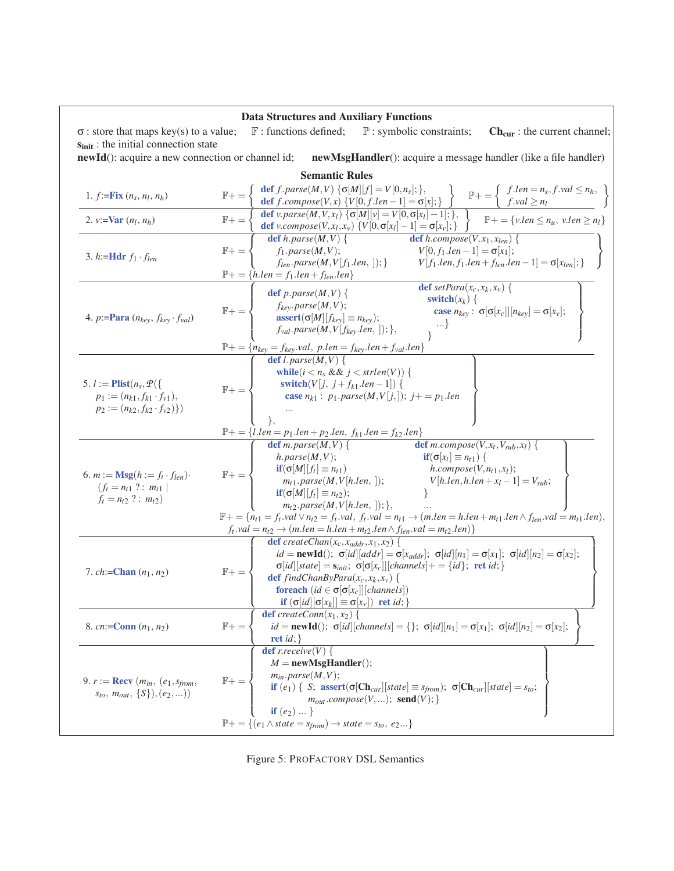| <b>Data Structures and Auxiliary Functions</b>                                                                                      |                                                                                                                                                                                                                                                                                                                                                                                                                                                                                                                                                                                                                                                                                                                                                               |  |  |  |  |  |  |  |
|-------------------------------------------------------------------------------------------------------------------------------------|---------------------------------------------------------------------------------------------------------------------------------------------------------------------------------------------------------------------------------------------------------------------------------------------------------------------------------------------------------------------------------------------------------------------------------------------------------------------------------------------------------------------------------------------------------------------------------------------------------------------------------------------------------------------------------------------------------------------------------------------------------------|--|--|--|--|--|--|--|
| $\sigma$ : store that maps key(s) to a value;<br>s <sub>init</sub> : the initial connection state                                   | $F:$ functions defined;<br>$\mathbb{P}$ : symbolic constraints;<br>$Ch_{cur}$ : the current channel;                                                                                                                                                                                                                                                                                                                                                                                                                                                                                                                                                                                                                                                          |  |  |  |  |  |  |  |
|                                                                                                                                     | newId(): acquire a new connection or channel id; newMsgHandler(): acquire a message handler (like a file handler)                                                                                                                                                                                                                                                                                                                                                                                                                                                                                                                                                                                                                                             |  |  |  |  |  |  |  |
| <b>Semantic Rules</b>                                                                                                               |                                                                                                                                                                                                                                                                                                                                                                                                                                                                                                                                                                                                                                                                                                                                                               |  |  |  |  |  |  |  |
| 1. $f:=\text{Fix}(n_s, n_l, n_h)$                                                                                                   | $\mathbb{F}+=\left\{\begin{array}{ll}\text{def }f.\text{parse}(M,V) \text{ }\{\sigma[M][f]=V[0,n_s];\},\\ \text{def }f.\text{composite}(N,x) \text{ }\{V[0,f.len-1]=\sigma[x];\}\end{array}\right\}\quad \mathbb{P}+=\left\{\begin{array}{ll}f.len=n_s,f.\text{val}\le n_h,\\ f.\text{val}\ge n_l\end{array}\right\}$                                                                                                                                                                                                                                                                                                                                                                                                                                         |  |  |  |  |  |  |  |
| 2. $v:=\text{Var}(n_l, n_h)$                                                                                                        | $\mathbb{F}+=\left\{\begin{array}{ll}\text{def }v.\text{parse}(M,V,x_l)\ \{\sigma[M][v]=V[0,\sigma[x_l]-1];\},\\ \text{def }v.\text{composite}(V,x_l,x_v)\ \{V[0,\sigma[x_l]-1]=\sigma[x_v];\}\end{array}\right\}\quad\mathbb{P}+=\left\{v.\text{len}\leq n_u,\ v.\text{len}\geq n_l\right\}$                                                                                                                                                                                                                                                                                                                                                                                                                                                                 |  |  |  |  |  |  |  |
| 3. h:=Hdr $f_1 \cdot f_{len}$                                                                                                       | <b>def</b> $h.\ncompose(V, x_1, x_{len})$ {<br><b>def</b> h.parse $(M, V)$ {<br>$f_1.parse(M, V);$<br>$f_{len}.parse(M, V[f_1.len, ]);$<br>$V[f_1.len, f_1.len + f_{len}.len - 1] = \sigma[x_{len}];$<br>$V[f_1.len, f_1.len + f_{len}.len - 1] = \sigma[x_{len}];$<br>$f_1.parse(M,V);$<br>$\mathbb{F}+ = \langle$                                                                                                                                                                                                                                                                                                                                                                                                                                           |  |  |  |  |  |  |  |
|                                                                                                                                     | $\mathbb{P}$ + = {h.len = f <sub>1</sub> .len + f <sub>len</sub> .len}                                                                                                                                                                                                                                                                                                                                                                                                                                                                                                                                                                                                                                                                                        |  |  |  |  |  |  |  |
| 4. p:= <b>Para</b> $(n_{key}, f_{key} \cdot f_{val})$                                                                               | <b>def</b> set Para $(x_c, x_k, x_v)$ {<br>def $p.parse(M, V)$ {<br>switch $(x_k)$ {<br>$\mathbb{F}+=\left\{\begin{array}{r} f_{key}.parse(M,V);\\ \textbf{assert}(\sigma[M][f_{key}]\equiv n_{key});\\ f_{val}.parse(M,V[f_{key}.len,]); \end{array}\right.$<br>case $n_{key}$ : $\sigma[\sigma[x_c]][n_{key}] = \sigma[x_v]$ ;                                                                                                                                                                                                                                                                                                                                                                                                                              |  |  |  |  |  |  |  |
|                                                                                                                                     | $\mathbb{P} + \frac{p}{\text{key}} = f_{key}.val, p.length = f_{key}.len + f_{val}.len\}$<br>$\left\{\n\begin{array}{c}\n\text{def } l.parse(M, V) \n\end{array}\n\right\}$                                                                                                                                                                                                                                                                                                                                                                                                                                                                                                                                                                                   |  |  |  |  |  |  |  |
| 5. $l := \text{Plist}(n_s, \mathcal{P}(\{\$<br>$p_1 := (n_{k1}, f_{k1} \cdot f_{v1}),$<br>$p_2 := (n_{k2}, f_{k2} \cdot f_{v2})\})$ | while $(i < n_s \& k j < strlen(V))$ {<br>$\mathbb{F}+=\left\{\begin{array}{r}\text { switch}(V[j, j+f_{k1}.len-1])\ \left\{\begin{array}{r} \text { case } n_{k1}: p_1.parse(M,V[j,]);\ j+=p_1.len\end{array}\right. \end{array}\right.$                                                                                                                                                                                                                                                                                                                                                                                                                                                                                                                     |  |  |  |  |  |  |  |
|                                                                                                                                     | $\mathbb{P}+=\{l.length=p_1.length+p_2.length, \, f_{k1}.len=f_{k2}.len\}$                                                                                                                                                                                                                                                                                                                                                                                                                                                                                                                                                                                                                                                                                    |  |  |  |  |  |  |  |
| 6. $m := \mathbf{Msg}(h := f_t \cdot f_{len})$ .<br>$(f_t = n_{t1} ? : m_{t1}$<br>$f_t = n_{t2}$ ? : $m_{t2}$ )                     | $\overline{\text{def } m.parse(M,V)}$<br>def $m$ .compose(V, $x_t$ , V <sub>sub</sub> , $x_l$ ) {<br>h.parse(M,V);<br>$\mathbf{if}(\sigma[x_t] \equiv n_{t1})$ {<br>$\mathbb{F}+=\left\{\begin{array}{cl} \text{if}(\sigma[M][f_{l}]\equiv n_{t1}) & h.\mathit{composite}(V,n_{t1},x_{l});\\ m_{t1}. \mathit{parse}(M,V[h.len, ]);\\ \text{if}(\sigma[M][f_{l}]\equiv n_{t2}); \end{array}\right.\hspace{1cm} \left.\begin{array}{cl} h.\mathit{composite}(V,n_{t1},x_{l});\\ V[h.len, h.len+x_{l}-1]=V_{sub};\\ \end{array}\right.$<br>$\sim 10^{11}$ and<br>$m_{t2}.parse(M, V[h.len,$ ]); },<br>$\mathbb{P}+ = \{n_{t1} = f_t.val \vee n_{t2} = f_t.val, f_t.val = n_{t1} \rightarrow (m.length = h.length + m_{t1}.len \wedge f_{len}.val = m_{t1}.len),$ |  |  |  |  |  |  |  |
|                                                                                                                                     | $f_t$ .val = $n_{t2} \rightarrow (m.length = h.length + m_{t2}.len \land f_{len}.val = m_{t2}.len)$                                                                                                                                                                                                                                                                                                                                                                                                                                                                                                                                                                                                                                                           |  |  |  |  |  |  |  |
| 7. $ch:=Chan(n_1, n_2)$                                                                                                             | <b>def</b> createChan( $x_c$ , $x_{addr}$ , $x_1$ , $x_2$ ) {<br>$id = \textbf{newId}(); \ \sigma[i d][addr] = \sigma[x_{addr}]; \ \sigma[i d][n_1] = \sigma[x_1]; \ \sigma[i d][n_2] = \sigma[x_2];$<br>$\sigma[id][state] = s_{init}; \sigma[\sigma[x_c]][channels] + \{id\};$ ret id; }<br>$\mathbb{F} +=$<br><b>def</b> findChanByPara $(x_c, x_k, x_v)$ {<br><b>foreach</b> $(id \in \sigma[\sigma[x_c]][channels])$<br>$\mathbf{if}(\sigma[i d]   \sigma[x_k]] \equiv \sigma[x_v])$ ret <i>id</i> ; }                                                                                                                                                                                                                                                   |  |  |  |  |  |  |  |
| 8. cn:= $Conn (n_1, n_2)$                                                                                                           | <b>def</b> createConn $(x_1, x_2)$ {<br>$id = \textbf{newId}()$ ; $\sigma[id][channels] = \{\}; \sigma[id][n_1] = \sigma[x_1]$ ; $\sigma[id][n_2] = \sigma[x_2]$ ;<br>$F+$<br>ret <i>id</i> ; $\}$                                                                                                                                                                                                                                                                                                                                                                                                                                                                                                                                                            |  |  |  |  |  |  |  |
| 9. $r := \text{Recv}(m_{in}, (e_1, s_{from},$<br>$s_{to}, m_{out}, \{S\}, (e_2,))$                                                  | def $r$ .receive $(V)$ {<br>$M = newMsgHandler($ ;<br>$m_{in}.parse(M, V);$<br>$\mathbb{F}+$ =<br>if $(e_1) \{ S; assert(\sigma[Ch_{cur}][state] \equiv s_{from}); \sigma[Ch_{cur}][state] = s_{to};$<br>$m_{out}$ .compose(V,); send(V); }<br><b>if</b> $(e_2) $ }<br>$\mathbb{P}^+ = \{(e_1 \wedge state = s_{from}) \rightarrow state = s_{to}, e_2\}$                                                                                                                                                                                                                                                                                                                                                                                                     |  |  |  |  |  |  |  |

Figure 5: PROFACTORY DSL Semantics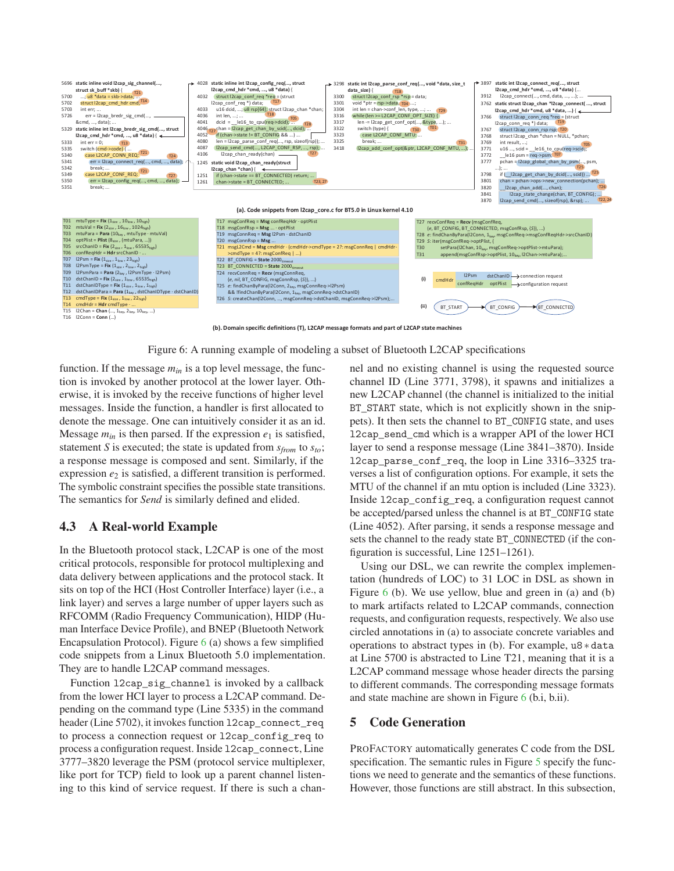

**(b). Domain specific definitions (T), L2CAP message formats and part of L2CAP state machines** 

Figure 6: A running example of modeling a subset of Bluetooth L2CAP specifications

function. If the message  $m_{in}$  is a top level message, the function is invoked by another protocol at the lower layer. Otherwise, it is invoked by the receive functions of higher level messages. Inside the function, a handler is first allocated to denote the message. One can intuitively consider it as an id. Message  $m_{in}$  is then parsed. If the expression  $e_1$  is satisfied, statement *S* is executed; the state is updated from *sfrom* to *sto*; a response message is composed and sent. Similarly, if the expression  $e<sub>2</sub>$  is satisfied, a different transition is performed. The symbolic constraint specifies the possible state transitions. The semantics for *Send* is similarly defined and elided.

#### 4.3 A Real-world Example

In the Bluetooth protocol stack, L2CAP is one of the most critical protocols, responsible for protocol multiplexing and data delivery between applications and the protocol stack. It sits on top of the HCI (Host Controller Interface) layer (i.e., a link layer) and serves a large number of upper layers such as RFCOMM (Radio Frequency Communication), HIDP (Human Interface Device Profile), and BNEP (Bluetooth Network Encapsulation Protocol). Figure  $6$  (a) shows a few simplified code snippets from a Linux Bluetooth 5.0 implementation. They are to handle L2CAP command messages.

Function l2cap\_sig\_channel is invoked by a callback from the lower HCI layer to process a L2CAP command. Depending on the command type (Line 5335) in the command header (Line 5702), it invokes function 12cap\_connect\_req to process a connection request or l2cap\_config\_req to process a configuration request. Inside l2cap\_connect, Line 3777–3820 leverage the PSM (protocol service multiplexer, like port for TCP) field to look up a parent channel listening to this kind of service request. If there is such a channel and no existing channel is using the requested source channel ID (Line 3771, 3798), it spawns and initializes a new L2CAP channel (the channel is initialized to the initial BT\_START state, which is not explicitly shown in the snippets). It then sets the channel to BT\_CONFIG state, and uses l2cap\_send\_cmd which is a wrapper API of the lower HCI layer to send a response message (Line 3841–3870). Inside l2cap\_parse\_conf\_req, the loop in Line 3316–3325 traverses a list of configuration options. For example, it sets the MTU of the channel if an mtu option is included (Line 3323). Inside l2cap\_config\_req, a configuration request cannot be accepted/parsed unless the channel is at BT\_CONFIG state (Line 4052). After parsing, it sends a response message and sets the channel to the ready state BT\_CONNECTED (if the configuration is successful, Line 1251–1261).

Using our DSL, we can rewrite the complex implementation (hundreds of LOC) to 31 LOC in DSL as shown in Figure 6 (b). We use yellow, blue and green in (a) and (b) to mark artifacts related to L2CAP commands, connection requests, and configuration requests, respectively. We also use circled annotations in (a) to associate concrete variables and operations to abstract types in (b). For example, u8 ∗ data at Line 5700 is abstracted to Line T21, meaning that it is a L2CAP command message whose header directs the parsing to different commands. The corresponding message formats and state machine are shown in Figure 6 (b.i, b.ii).

#### 5 Code Generation

PROFACTORY automatically generates C code from the DSL specification. The semantic rules in Figure 5 specify the functions we need to generate and the semantics of these functions. However, those functions are still abstract. In this subsection,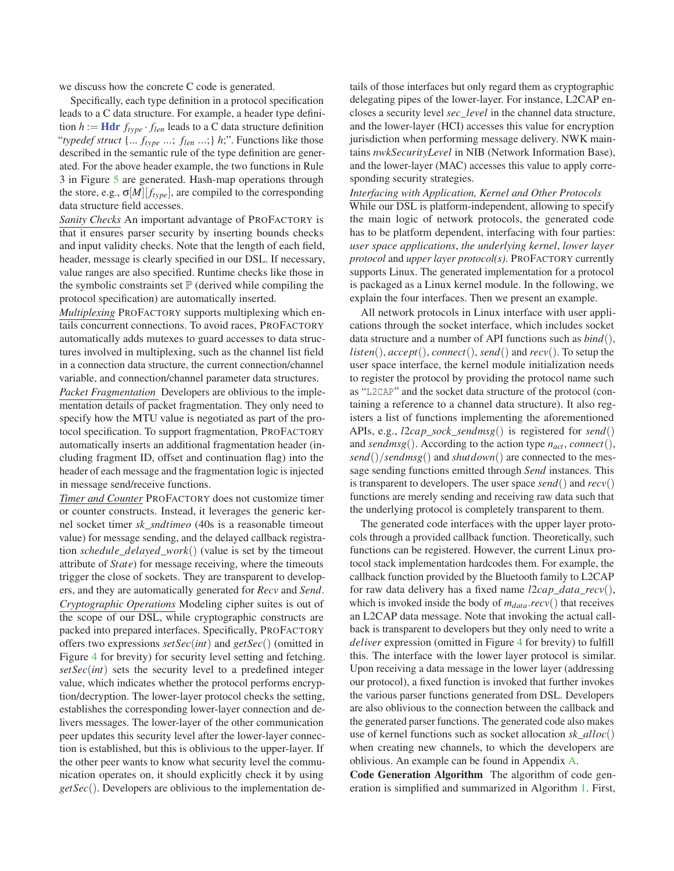we discuss how the concrete C code is generated.

Specifically, each type definition in a protocol specification leads to a C data structure. For example, a header type definition  $h := \textbf{H} \textbf{dr} f_{type} \cdot f_{len}$  leads to a C data structure definition "*typedef struct* {... *ftype* ...; *flen* ...;} *h*;". Functions like those described in the semantic rule of the type definition are generated. For the above header example, the two functions in Rule 3 in Figure 5 are generated. Hash-map operations through the store, e.g.,  $\sigma[M][f_{type}]$ , are compiled to the corresponding data structure field accesses.

*Sanity Checks* An important advantage of PROFACTORY is that it ensures parser security by inserting bounds checks and input validity checks. Note that the length of each field, header, message is clearly specified in our DSL. If necessary, value ranges are also specified. Runtime checks like those in the symbolic constraints set  $\mathbb P$  (derived while compiling the protocol specification) are automatically inserted.

*Multiplexing* PROFACTORY supports multiplexing which entails concurrent connections. To avoid races, PROFACTORY automatically adds mutexes to guard accesses to data structures involved in multiplexing, such as the channel list field in a connection data structure, the current connection/channel variable, and connection/channel parameter data structures.

*Packet Fragmentation* Developers are oblivious to the implementation details of packet fragmentation. They only need to specify how the MTU value is negotiated as part of the protocol specification. To support fragmentation, PROFACTORY automatically inserts an additional fragmentation header (including fragment ID, offset and continuation flag) into the header of each message and the fragmentation logic is injected in message send/receive functions.

*Timer and Counter* PROFACTORY does not customize timer or counter constructs. Instead, it leverages the generic kernel socket timer *sk*\_*sndtimeo* (40s is a reasonable timeout value) for message sending, and the delayed callback registration *schedule*\_*delayed*\_*work*() (value is set by the timeout attribute of *State*) for message receiving, where the timeouts trigger the close of sockets. They are transparent to developers, and they are automatically generated for *Recv* and *Send*. *Cryptographic Operations* Modeling cipher suites is out of the scope of our DSL, while cryptographic constructs are packed into prepared interfaces. Specifically, PROFACTORY offers two expressions *setSec*(*int*) and *getSec*() (omitted in Figure 4 for brevity) for security level setting and fetching. *setSec*(*int*) sets the security level to a predefined integer value, which indicates whether the protocol performs encryption/decryption. The lower-layer protocol checks the setting, establishes the corresponding lower-layer connection and delivers messages. The lower-layer of the other communication peer updates this security level after the lower-layer connection is established, but this is oblivious to the upper-layer. If the other peer wants to know what security level the communication operates on, it should explicitly check it by using *getSec*(). Developers are oblivious to the implementation details of those interfaces but only regard them as cryptographic delegating pipes of the lower-layer. For instance, L2CAP encloses a security level *sec*\_*level* in the channel data structure, and the lower-layer (HCI) accesses this value for encryption jurisdiction when performing message delivery. NWK maintains *nwkSecurityLevel* in NIB (Network Information Base), and the lower-layer (MAC) accesses this value to apply corresponding security strategies.

#### *Interfacing with Application, Kernel and Other Protocols*

While our DSL is platform-independent, allowing to specify the main logic of network protocols, the generated code has to be platform dependent, interfacing with four parties: *user space applications*, *the underlying kernel*, *lower layer protocol* and *upper layer protocol(s)*. PROFACTORY currently supports Linux. The generated implementation for a protocol is packaged as a Linux kernel module. In the following, we explain the four interfaces. Then we present an example.

All network protocols in Linux interface with user applications through the socket interface, which includes socket data structure and a number of API functions such as *bind*(), *listen*(), *accept*(), *connect*(), *send*() and *recv*(). To setup the user space interface, the kernel module initialization needs to register the protocol by providing the protocol name such as "L2CAP" and the socket data structure of the protocol (containing a reference to a channel data structure). It also registers a list of functions implementing the aforementioned APIs, e.g., *l*2*cap*\_*sock*\_*sendmsg*() is registered for *send*() and *sendmsg*(). According to the action type *nact*, *connect*(), *send*()/*sendmsg*() and *shutdown*() are connected to the message sending functions emitted through *Send* instances. This is transparent to developers. The user space *send*() and *recv*() functions are merely sending and receiving raw data such that the underlying protocol is completely transparent to them.

The generated code interfaces with the upper layer protocols through a provided callback function. Theoretically, such functions can be registered. However, the current Linux protocol stack implementation hardcodes them. For example, the callback function provided by the Bluetooth family to L2CAP for raw data delivery has a fixed name *l*2*cap*\_*data*\_*recv*(), which is invoked inside the body of  $m_{data}$ .*recv*() that receives an L2CAP data message. Note that invoking the actual callback is transparent to developers but they only need to write a *deliver* expression (omitted in Figure 4 for brevity) to fulfill this. The interface with the lower layer protocol is similar. Upon receiving a data message in the lower layer (addressing our protocol), a fixed function is invoked that further invokes the various parser functions generated from DSL. Developers are also oblivious to the connection between the callback and the generated parser functions. The generated code also makes use of kernel functions such as socket allocation *sk*\_*alloc*() when creating new channels, to which the developers are oblivious. An example can be found in Appendix A.

Code Generation Algorithm The algorithm of code generation is simplified and summarized in Algorithm 1. First,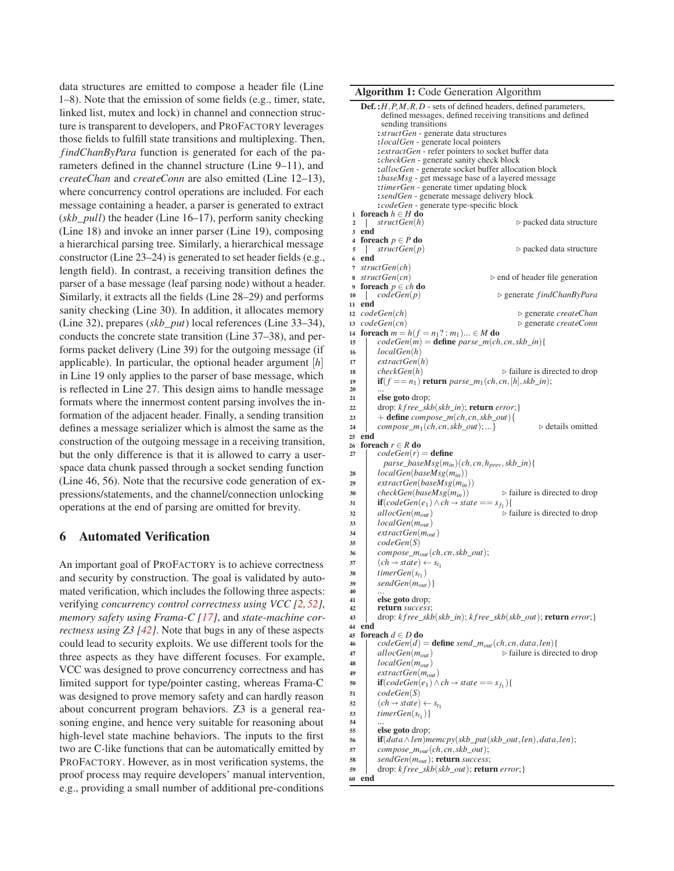data structures are emitted to compose a header file (Line 1–8). Note that the emission of some fields (e.g., timer, state, linked list, mutex and lock) in channel and connection structure is transparent to developers, and PROFACTORY leverages those fields to fulfill state transitions and multiplexing. Then, *findChanByPara* function is generated for each of the parameters defined in the channel structure (Line 9–11), and *createChan* and *createConn* are also emitted (Line 12–13), where concurrency control operations are included. For each message containing a header, a parser is generated to extract (*skb*\_*pull*) the header (Line 16–17), perform sanity checking (Line 18) and invoke an inner parser (Line 19), composing a hierarchical parsing tree. Similarly, a hierarchical message constructor (Line 23–24) is generated to set header fields (e.g., length field). In contrast, a receiving transition defines the parser of a base message (leaf parsing node) without a header. Similarly, it extracts all the fields (Line 28–29) and performs sanity checking (Line 30). In addition, it allocates memory (Line 32), prepares (*skb*\_*put*) local references (Line 33–34), conducts the concrete state transition (Line 37–38), and performs packet delivery (Line 39) for the outgoing message (if applicable). In particular, the optional header argument [*h*] in Line 19 only applies to the parser of base message, which is reflected in Line 27. This design aims to handle message formats where the innermost content parsing involves the information of the adjacent header. Finally, a sending transition defines a message serializer which is almost the same as the construction of the outgoing message in a receiving transition, but the only difference is that it is allowed to carry a userspace data chunk passed through a socket sending function (Line 46, 56). Note that the recursive code generation of expressions/statements, and the channel/connection unlocking operations at the end of parsing are omitted for brevity.

### 6 Automated Verification

An important goal of PROFACTORY is to achieve correctness and security by construction. The goal is validated by automated verification, which includes the following three aspects: verifying *concurrency control correctness using VCC [2, 52]*, *memory safety using Frama-C [17]*, and *state-machine correctness using Z3 [42]*. Note that bugs in any of these aspects could lead to security exploits. We use different tools for the three aspects as they have different focuses. For example, VCC was designed to prove concurrency correctness and has limited support for type/pointer casting, whereas Frama-C was designed to prove memory safety and can hardly reason about concurrent program behaviors. Z3 is a general reasoning engine, and hence very suitable for reasoning about high-level state machine behaviors. The inputs to the first two are C-like functions that can be automatically emitted by PROFACTORY. However, as in most verification systems, the proof process may require developers' manual intervention, e.g., providing a small number of additional pre-conditions

Algorithm 1: Code Generation Algorithm

```
Def. :H,P,M,R,D - sets of defined headers, defined parameters,
            defined messages, defined receiving transitions and defined
            sending transitions
           :structGen - generate data structures
          :localGen - generate local pointers
           :extractGen - refer pointers to socket buffer data
          :checkGen - generate sanity check block
           :allocGen - generate socket buffer allocation block
           :baseMsg - get message base of a layered message
           :timerGen - generate timer updating block
           :sendGen - generate message delivery block
 : codeGen - generate type-specific block<br>1 foreach h \in H do
 2 | structGen(h) ⊳ packed data structure
 3 end<br>4 foreach p \in P do
 \frac{1}{2} structGen(p) \Rightarrow packed data structure
 6 end
 7 structGen(ch)
 8 structGen(cn)<br>9 foreach p \in ch do<br>9 foreach p \in ch do
10 codeGen(p) ⊳ generate findChanByPara
11 end<br>12 codeGen(ch)12 codeGen(ch)  generate createChan
13 codeGen(cn)<br>
14 foreach m = h(f = n_1? : m_1) ... \in M do<br>
b generate createConn
15 | codeGen(m) = define parse_m(ch, cn, skb\_in){
16 localGen(h)
17 extractGen(h)
18 checkGen(h) \triangleright failure is directed to drop
19 if(f == n_1) return parse_m<sub>1</sub>(ch, cn, [h], skb_in);<br>
21 else goto drop:
           else goto drop;
22 drop: k f ree_skb(skb_in); return error;}
23 + define compose_m(ch, cn, skb_out){<br>
compose_m<sub>1</sub>(ch_cn_skb_out);...}
          \textit{compare\_m}_1(\textit{ch}, \textit{cn}, \textit{skb\_out});... \triangleright details omitted
25 end<br>26 foreach r \in R do
26 foreach r \in R do<br>27 codeGen(r) = define
             parse_baseMsg(min)(ch, cn,hprev,skb_in){
28 localGen(baseMsg(min))
29 extractGen(baseMsg(min))
30 checkGen(baseMsg(m_{in})) \triangleright failure is directed to drop
 31 if(codeGen(e_1) \land ch \rightarrow state == s_{f_1}){
32 allocGen(m_{out}) \triangleright failure is directed to drop
33 localGen(mout)
34 extractGen(mout)
           35 codeGen(S)
36 compose_m<sub>out</sub>(ch, cn, skb_out);<br>(ch \rightarrow state) \leftarrow s<sub>t<sub>1</sub></sub>
 \begin{cases}\n\text{compose\_modu}(\text{cm}) \\
\text{(ch} \rightarrow \text{state}) \leftarrow s_{t_1}\n\end{cases}\begin{array}{c|c} \mathbf{38} & \text{timerGen}(s_{t_1}) \\ \mathbf{39} & \text{sendGen}(m_{out}) \end{array}\begin{array}{c|c} 39 & sendGen(m_{out}) \\ 40 & ... \\ 41 & else \textbf{goto} \text{ drop:} \end{array}41 else goto drop;<br>
return success
           return success
43 drop: k f ree_skb(skb_in); k f ree_skb(skb_out); return error;}
44 end<br>45 foreach d \in D do
46 \downarrow codeGen(d) = define send_m<sub>out</sub>(ch, cn, data, len){<br>47 b failure is direc
47 allocGen(m_{out}) \triangleright failure is directed to drop
48 localGen(m_{out})<br>49 extractGen(m_{out})49 extractGen(mout)
 50 if(\text{codeGen}(e_1) \land ch \rightarrow \text{state} == s_{f_1})51 codeGen(S)
 \begin{cases}\n\text{conform}(5) \\
\text{(ch} \rightarrow \text{state}) \leftarrow s_{t_1}\n\end{cases}\begin{array}{c|c} 53 & timerGen(s_{t_1}) \\ 54 & ... \\ 55 & else go to drop; \end{array}else goto drop;
56 \mathbf{if}(data \land len) \text{ memory}(skb\_put(skb\_out, len), data, len);<br>57 compose\_m_{out}(ch, cn, skb\_out);\begin{array}{c|c} 57 & \text{composite\_}m_{out}(ch, cn, skb\_out); \\ 58 & \text{sendGen}(m_{out}); \text{return success:} \end{array}58 sendGen(mout); return success;
59 drop: k f ree_skb(skb_out); return error;}
60 end
```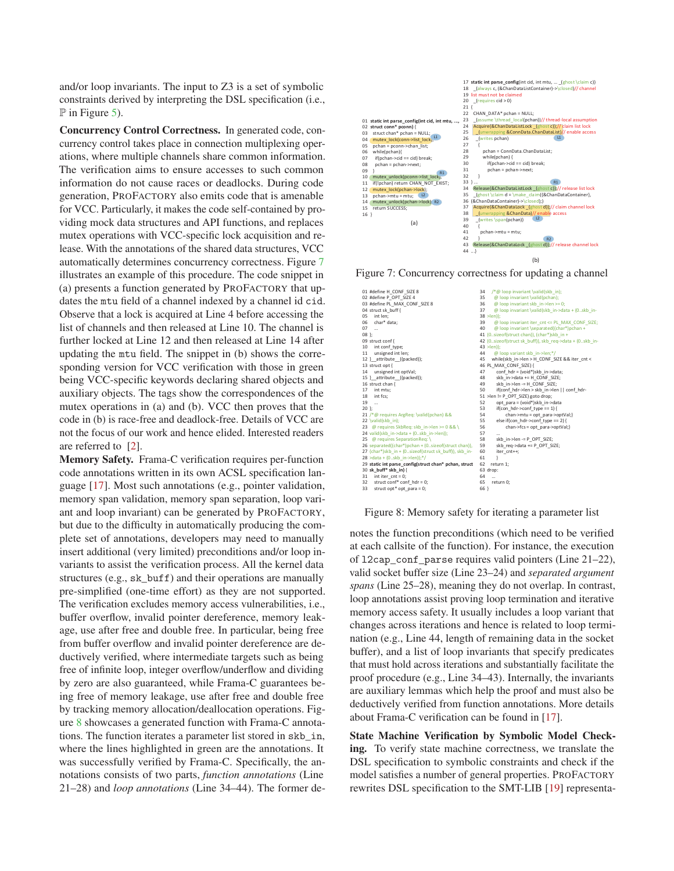and/or loop invariants. The input to Z3 is a set of symbolic constraints derived by interpreting the DSL specification (i.e.,  $\mathbb P$  in Figure 5).

Concurrency Control Correctness. In generated code, concurrency control takes place in connection multiplexing operations, where multiple channels share common information. The verification aims to ensure accesses to such common information do not cause races or deadlocks. During code generation, PROFACTORY also emits code that is amenable for VCC. Particularly, it makes the code self-contained by providing mock data structures and API functions, and replaces mutex operations with VCC-specific lock acquisition and release. With the annotations of the shared data structures, VCC automatically determines concurrency correctness. Figure 7 illustrates an example of this procedure. The code snippet in (a) presents a function generated by PROFACTORY that updates the mtu field of a channel indexed by a channel id cid. Observe that a lock is acquired at Line 4 before accessing the list of channels and then released at Line 10. The channel is further locked at Line 12 and then released at Line 14 after updating the mtu field. The snippet in (b) shows the corresponding version for VCC verification with those in green being VCC-specific keywords declaring shared objects and auxiliary objects. The tags show the correspondences of the mutex operations in (a) and (b). VCC then proves that the code in (b) is race-free and deadlock-free. Details of VCC are not the focus of our work and hence elided. Interested readers are referred to [2].

Memory Safety. Frama-C verification requires per-function code annotations written in its own ACSL specification language [17]. Most such annotations (e.g., pointer validation, memory span validation, memory span separation, loop variant and loop invariant) can be generated by PROFACTORY, but due to the difficulty in automatically producing the complete set of annotations, developers may need to manually insert additional (very limited) preconditions and/or loop invariants to assist the verification process. All the kernel data structures (e.g., sk\_buff) and their operations are manually pre-simplified (one-time effort) as they are not supported. The verification excludes memory access vulnerabilities, i.e., buffer overflow, invalid pointer dereference, memory leakage, use after free and double free. In particular, being free from buffer overflow and invalid pointer dereference are deductively verified, where intermediate targets such as being free of infinite loop, integer overflow/underflow and dividing by zero are also guaranteed, while Frama-C guarantees being free of memory leakage, use after free and double free by tracking memory allocation/deallocation operations. Figure 8 showcases a generated function with Frama-C annotations. The function iterates a parameter list stored in skb\_in, where the lines highlighted in green are the annotations. It was successfully verified by Frama-C. Specifically, the annotations consists of two parts, *function annotations* (Line 21–28) and *loop annotations* (Line 34–44). The former de-



Figure 7: Concurrency correctness for updating a channel



Figure 8: Memory safety for iterating a parameter list

notes the function preconditions (which need to be verified at each callsite of the function). For instance, the execution of l2cap\_conf\_parse requires valid pointers (Line 21–22), valid socket buffer size (Line 23–24) and *separated argument spans* (Line 25–28), meaning they do not overlap. In contrast, loop annotations assist proving loop termination and iterative memory access safety. It usually includes a loop variant that changes across iterations and hence is related to loop termination (e.g., Line 44, length of remaining data in the socket buffer), and a list of loop invariants that specify predicates that must hold across iterations and substantially facilitate the proof procedure (e.g., Line 34–43). Internally, the invariants are auxiliary lemmas which help the proof and must also be deductively verified from function annotations. More details about Frama-C verification can be found in [17].

State Machine Verification by Symbolic Model Checking. To verify state machine correctness, we translate the DSL specification to symbolic constraints and check if the model satisfies a number of general properties. PROFACTORY rewrites DSL specification to the SMT-LIB [19] representa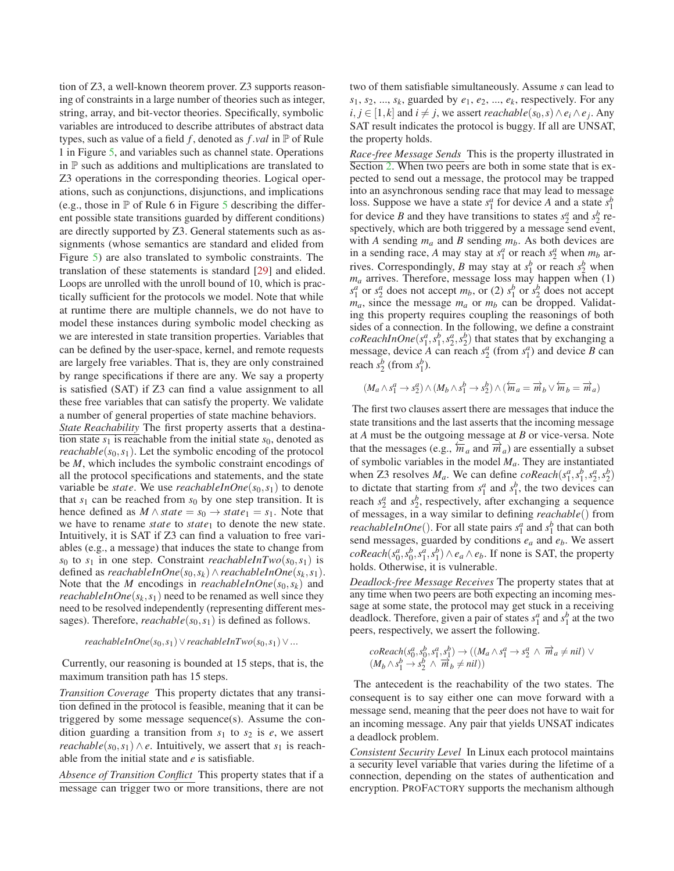tion of Z3, a well-known theorem prover. Z3 supports reasoning of constraints in a large number of theories such as integer, string, array, and bit-vector theories. Specifically, symbolic variables are introduced to describe attributes of abstract data types, such as value of a field *f* , denoted as *f*.*val* in P of Rule 1 in Figure 5, and variables such as channel state. Operations in  $\mathbb P$  such as additions and multiplications are translated to Z3 operations in the corresponding theories. Logical operations, such as conjunctions, disjunctions, and implications (e.g., those in  $\mathbb P$  of Rule 6 in Figure 5 describing the different possible state transitions guarded by different conditions) are directly supported by Z3. General statements such as assignments (whose semantics are standard and elided from Figure 5) are also translated to symbolic constraints. The translation of these statements is standard [29] and elided. Loops are unrolled with the unroll bound of 10, which is practically sufficient for the protocols we model. Note that while at runtime there are multiple channels, we do not have to model these instances during symbolic model checking as we are interested in state transition properties. Variables that can be defined by the user-space, kernel, and remote requests are largely free variables. That is, they are only constrained by range specifications if there are any. We say a property is satisfied (SAT) if Z3 can find a value assignment to all these free variables that can satisfy the property. We validate a number of general properties of state machine behaviors.

*State Reachability* The first property asserts that a destination state  $s_1$  is reachable from the initial state  $s_0$ , denoted as *reachable*( $s_0$ , $s_1$ ). Let the symbolic encoding of the protocol be *M*, which includes the symbolic constraint encodings of all the protocol specifications and statements, and the state variable be *state*. We use *reachableInOne*( $s_0$ , $s_1$ ) to denote that  $s_1$  can be reached from  $s_0$  by one step transition. It is hence defined as  $M \wedge state = s_0 \rightarrow state_1 = s_1$ . Note that we have to rename *state* to *state*<sup>1</sup> to denote the new state. Intuitively, it is SAT if Z3 can find a valuation to free variables (e.g., a message) that induces the state to change from *s*<sup>0</sup> to *s*<sup>1</sup> in one step. Constraint *reachableInTwo*( $s_0$ ,  $s_1$ ) is defined as *reachableInOne*( $s_0, s_k$ )∧*reachableInOne*( $s_k, s_1$ ). Note that the *M* encodings in *reachableInOne*( $s_0, s_k$ ) and *reachableInOne*( $s_k$ , $s_1$ ) need to be renamed as well since they need to be resolved independently (representing different messages). Therefore, *reachable*( $s_0$ , $s_1$ ) is defined as follows.

$$
reachableInOne(s_0, s_1) \vee reachable InTwo(s_0, s_1) \vee ...
$$

Currently, our reasoning is bounded at 15 steps, that is, the maximum transition path has 15 steps.

*Transition Coverage* This property dictates that any transition defined in the protocol is feasible, meaning that it can be triggered by some message sequence(s). Assume the condition guarding a transition from  $s_1$  to  $s_2$  is *e*, we assert *reachable*( $s_0, s_1$ )  $\land$  *e*. Intuitively, we assert that  $s_1$  is reachable from the initial state and *e* is satisfiable.

*Absence of Transition Conflict* This property states that if a message can trigger two or more transitions, there are not two of them satisfiable simultaneously. Assume *s* can lead to  $s_1, s_2, \ldots, s_k$ , guarded by  $e_1, e_2, \ldots, e_k$ , respectively. For any *i*, *j* ∈ [1, *k*] and *i*  $\neq$  *j*, we assert *reachable*(*s*<sub>0</sub>, *s*) ∧ *e*<sub>*i*</sub> ∧ *e*<sub>*j*</sub>. Any SAT result indicates the protocol is buggy. If all are UNSAT, the property holds.

*Race-free Message Sends* This is the property illustrated in Section 2. When two peers are both in some state that is expected to send out a message, the protocol may be trapped into an asynchronous sending race that may lead to message loss. Suppose we have a state  $s_1^a$  for device *A* and a state  $s_1^b$ for device *B* and they have transitions to states  $s_2^a$  and  $s_2^b$  respectively, which are both triggered by a message send event, with *A* sending  $m_a$  and *B* sending  $m_b$ . As both devices are in a sending race, *A* may stay at  $s_1^a$  or reach  $s_2^a$  when  $m_b$  arrives. Correspondingly, *B* may stay at  $s_1^b$  or reach  $s_2^b$  when *ma* arrives. Therefore, message loss may happen when (1)  $s_1^a$  or  $s_2^a$  does not accept  $m_b$ , or (2)  $s_1^b$  or  $s_2^b$  does not accept  $m_a$ , since the message  $m_a$  or  $m_b$  can be dropped. Validating this property requires coupling the reasonings of both sides of a connection. In the following, we define a constraint  $\textit{coReachInOne}(s_1^a, s_1^b, s_2^a, s_2^b)$  that states that by exchanging a message, device *A* can reach  $s_2^a$  (from  $s_1^a$ ) and device *B* can reach  $s_2^b$  (from  $s_1^b$ ).

$$
(M_a \wedge s_1^a \rightarrow s_2^a) \wedge (M_b \wedge s_1^b \rightarrow s_2^b) \wedge (\overleftarrow{m}_a = \overrightarrow{m}_b \vee \overleftarrow{m}_b = \overrightarrow{m}_a)
$$

The first two clauses assert there are messages that induce the state transitions and the last asserts that the incoming message at *A* must be the outgoing message at *B* or vice-versa. Note that the messages (e.g.,  $\overleftarrow{m}_a$  and  $\overrightarrow{m}_a$ ) are essentially a subset of symbolic variables in the model *Ma*. They are instantiated when Z3 resolves  $M_a$ . We can define  $\text{coReach}(s_1^a, s_1^b, s_2^a, s_2^b)$ to dictate that starting from  $s_1^a$  and  $s_1^b$ , the two devices can reach  $s_2^a$  and  $s_2^b$ , respectively, after exchanging a sequence of messages, in a way similar to defining *reachable*() from *reachableInOne*(). For all state pairs  $s_1^a$  and  $s_1^b$  that can both send messages, guarded by conditions *ea* and *eb*. We assert  $\cos\theta$  (*s*<sup>*a*</sup><sub>0</sub>, *s*<sup>*b*</sup><sub>1</sub>, *s*<sup>*h*</sup><sub>1</sub>)  $\land$  *e<sub>a</sub>*  $\land$  *e<sub>b</sub>*. If none is SAT, the property holds. Otherwise, it is vulnerable.

*Deadlock-free Message Receives* The property states that at any time when two peers are both expecting an incoming message at some state, the protocol may get stuck in a receiving deadlock. Therefore, given a pair of states  $s_1^a$  and  $s_1^b$  at the two peers, respectively, we assert the following.

$$
\begin{array}{l} coReach(s_0^a, s_0^b, s_1^a, s_1^b) \rightarrow ((M_a \wedge s_1^a \rightarrow s_2^a \wedge \overrightarrow{m}_a \neq nil) \vee \\ (M_b \wedge s_1^b \rightarrow s_2^b \wedge \overrightarrow{m}_b \neq nil)) \end{array}
$$

The antecedent is the reachability of the two states. The consequent is to say either one can move forward with a message send, meaning that the peer does not have to wait for an incoming message. Any pair that yields UNSAT indicates a deadlock problem.

*Consistent Security Level* In Linux each protocol maintains a security level variable that varies during the lifetime of a connection, depending on the states of authentication and encryption. PROFACTORY supports the mechanism although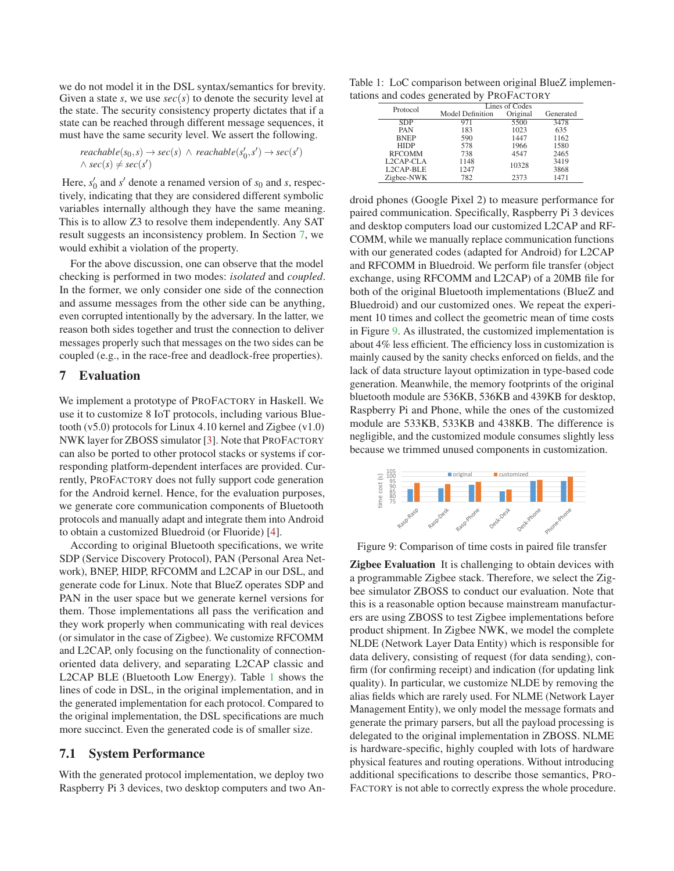we do not model it in the DSL syntax/semantics for brevity. Given a state *s*, we use *sec*(*s*) to denote the security level at the state. The security consistency property dictates that if a state can be reached through different message sequences, it must have the same security level. We assert the following.

$$
reachable(s_0, s) \rightarrow sec(s) \land reachable(s'_0, s') \rightarrow sec(s')
$$
  
 $\land sec(s) \neq sec(s')$ 

Here,  $s'_0$  and  $s'$  denote a renamed version of  $s_0$  and  $s$ , respectively, indicating that they are considered different symbolic variables internally although they have the same meaning. This is to allow Z3 to resolve them independently. Any SAT result suggests an inconsistency problem. In Section 7, we would exhibit a violation of the property.

For the above discussion, one can observe that the model checking is performed in two modes: *isolated* and *coupled*. In the former, we only consider one side of the connection and assume messages from the other side can be anything, even corrupted intentionally by the adversary. In the latter, we reason both sides together and trust the connection to deliver messages properly such that messages on the two sides can be coupled (e.g., in the race-free and deadlock-free properties).

#### 7 Evaluation

We implement a prototype of PROFACTORY in Haskell. We use it to customize 8 IoT protocols, including various Bluetooth (v5.0) protocols for Linux 4.10 kernel and Zigbee (v1.0) NWK layer for ZBOSS simulator [3]. Note that PROFACTORY can also be ported to other protocol stacks or systems if corresponding platform-dependent interfaces are provided. Currently, PROFACTORY does not fully support code generation for the Android kernel. Hence, for the evaluation purposes, we generate core communication components of Bluetooth protocols and manually adapt and integrate them into Android to obtain a customized Bluedroid (or Fluoride) [4].

According to original Bluetooth specifications, we write SDP (Service Discovery Protocol), PAN (Personal Area Network), BNEP, HIDP, RFCOMM and L2CAP in our DSL, and generate code for Linux. Note that BlueZ operates SDP and PAN in the user space but we generate kernel versions for them. Those implementations all pass the verification and they work properly when communicating with real devices (or simulator in the case of Zigbee). We customize RFCOMM and L2CAP, only focusing on the functionality of connectionoriented data delivery, and separating L2CAP classic and L2CAP BLE (Bluetooth Low Energy). Table 1 shows the lines of code in DSL, in the original implementation, and in the generated implementation for each protocol. Compared to the original implementation, the DSL specifications are much more succinct. Even the generated code is of smaller size.

#### 7.1 System Performance

With the generated protocol implementation, we deploy two Raspberry Pi 3 devices, two desktop computers and two An-

Table 1: LoC comparison between original BlueZ implementations and codes generated by PROFACTORY

| Protocol      |  | Lines of Codes          |          |           |  |
|---------------|--|-------------------------|----------|-----------|--|
|               |  | <b>Model Definition</b> | Original | Generated |  |
| <b>SDP</b>    |  | 971                     | 5500     | 3478      |  |
| PAN           |  | 183                     | 1023     | 635       |  |
| <b>BNEP</b>   |  | 590                     | 1447     | 1162      |  |
| <b>HIDP</b>   |  | 578                     | 1966     | 1580      |  |
| <b>RFCOMM</b> |  | 738                     | 4547     | 2465      |  |
| L2CAP-CLA     |  | 1148                    | 10328    | 3419      |  |
| L2CAP-BLE     |  | 1247                    |          | 3868      |  |
| Zigbee-NWK    |  | 782                     | 2373     | 1471      |  |

droid phones (Google Pixel 2) to measure performance for paired communication. Specifically, Raspberry Pi 3 devices and desktop computers load our customized L2CAP and RF-COMM, while we manually replace communication functions with our generated codes (adapted for Android) for L2CAP and RFCOMM in Bluedroid. We perform file transfer (object exchange, using RFCOMM and L2CAP) of a 20MB file for both of the original Bluetooth implementations (BlueZ and Bluedroid) and our customized ones. We repeat the experiment 10 times and collect the geometric mean of time costs in Figure 9. As illustrated, the customized implementation is about 4% less efficient. The efficiency loss in customization is mainly caused by the sanity checks enforced on fields, and the lack of data structure layout optimization in type-based code generation. Meanwhile, the memory footprints of the original bluetooth module are 536KB, 536KB and 439KB for desktop, Raspberry Pi and Phone, while the ones of the customized module are 533KB, 533KB and 438KB. The difference is negligible, and the customized module consumes slightly less because we trimmed unused components in customization.



Figure 9: Comparison of time costs in paired file transfer

Zigbee Evaluation It is challenging to obtain devices with a programmable Zigbee stack. Therefore, we select the Zigbee simulator ZBOSS to conduct our evaluation. Note that this is a reasonable option because mainstream manufacturers are using ZBOSS to test Zigbee implementations before product shipment. In Zigbee NWK, we model the complete NLDE (Network Layer Data Entity) which is responsible for data delivery, consisting of request (for data sending), confirm (for confirming receipt) and indication (for updating link quality). In particular, we customize NLDE by removing the alias fields which are rarely used. For NLME (Network Layer Management Entity), we only model the message formats and generate the primary parsers, but all the payload processing is delegated to the original implementation in ZBOSS. NLME is hardware-specific, highly coupled with lots of hardware physical features and routing operations. Without introducing additional specifications to describe those semantics, PRO-FACTORY is not able to correctly express the whole procedure.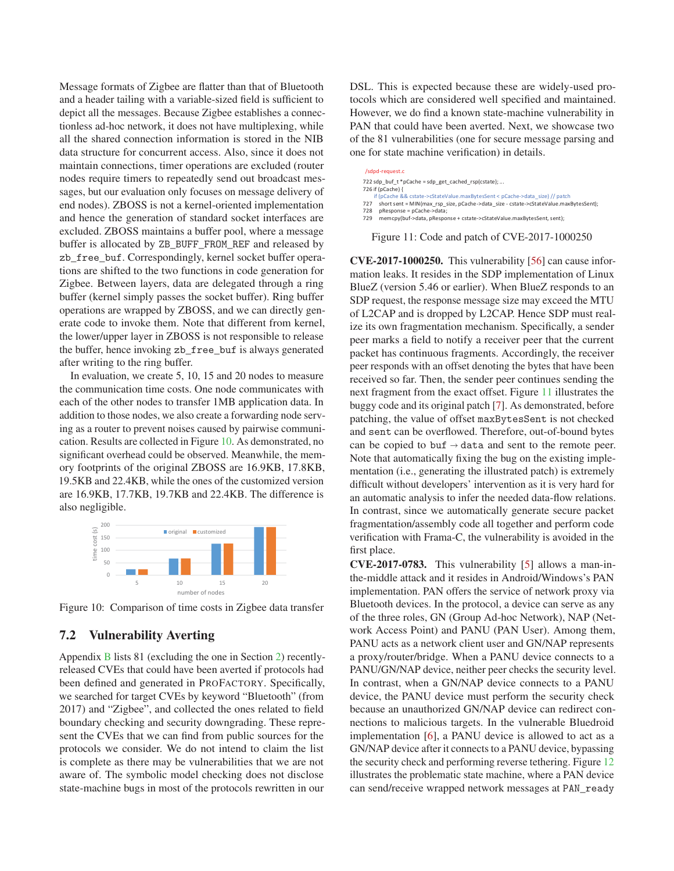Message formats of Zigbee are flatter than that of Bluetooth and a header tailing with a variable-sized field is sufficient to depict all the messages. Because Zigbee establishes a connectionless ad-hoc network, it does not have multiplexing, while all the shared connection information is stored in the NIB data structure for concurrent access. Also, since it does not maintain connections, timer operations are excluded (router nodes require timers to repeatedly send out broadcast messages, but our evaluation only focuses on message delivery of end nodes). ZBOSS is not a kernel-oriented implementation and hence the generation of standard socket interfaces are excluded. ZBOSS maintains a buffer pool, where a message buffer is allocated by ZB\_BUFF\_FROM\_REF and released by zb\_free\_buf. Correspondingly, kernel socket buffer operations are shifted to the two functions in code generation for Zigbee. Between layers, data are delegated through a ring buffer (kernel simply passes the socket buffer). Ring buffer operations are wrapped by ZBOSS, and we can directly generate code to invoke them. Note that different from kernel, the lower/upper layer in ZBOSS is not responsible to release the buffer, hence invoking zb\_free\_buf is always generated after writing to the ring buffer.

In evaluation, we create 5, 10, 15 and 20 nodes to measure the communication time costs. One node communicates with each of the other nodes to transfer 1MB application data. In addition to those nodes, we also create a forwarding node serving as a router to prevent noises caused by pairwise communication. Results are collected in Figure 10. As demonstrated, no significant overhead could be observed. Meanwhile, the memory footprints of the original ZBOSS are 16.9KB, 17.8KB, 19.5KB and 22.4KB, while the ones of the customized version are 16.9KB, 17.7KB, 19.7KB and 22.4KB. The difference is also negligible.



Figure 10: Comparison of time costs in Zigbee data transfer

### 7.2 Vulnerability Averting

Appendix B lists 81 (excluding the one in Section 2) recentlyreleased CVEs that could have been averted if protocols had been defined and generated in PROFACTORY. Specifically, we searched for target CVEs by keyword "Bluetooth" (from 2017) and "Zigbee", and collected the ones related to field boundary checking and security downgrading. These represent the CVEs that we can find from public sources for the protocols we consider. We do not intend to claim the list is complete as there may be vulnerabilities that we are not aware of. The symbolic model checking does not disclose state-machine bugs in most of the protocols rewritten in our

DSL. This is expected because these are widely-used protocols which are considered well specified and maintained. However, we do find a known state-machine vulnerability in PAN that could have been averted. Next, we showcase two of the 81 vulnerabilities (one for secure message parsing and one for state machine verification) in details.

| /sdpd-request.c                                                                              |
|----------------------------------------------------------------------------------------------|
| 722 sdp buf $t * p$ Cache = sdp get cached $rsp(cstate)$ ;                                   |
| 726 if (pCache) {                                                                            |
| if (pCache && cstate->cStateValue.maxBytesSent < pCache->data_size) // patch                 |
| short sent = MIN(max rsp size, pCache->data size - cstate->cStateValue.maxBytesSent);<br>727 |
| pResponse = pCache->data:<br>728                                                             |
| memcpy(buf->data, pResponse + cstate->cStateValue.maxBytesSent, sent);<br>729                |

Figure 11: Code and patch of CVE-2017-1000250

CVE-2017-1000250. This vulnerability [56] can cause information leaks. It resides in the SDP implementation of Linux BlueZ (version 5.46 or earlier). When BlueZ responds to an SDP request, the response message size may exceed the MTU of L2CAP and is dropped by L2CAP. Hence SDP must realize its own fragmentation mechanism. Specifically, a sender peer marks a field to notify a receiver peer that the current packet has continuous fragments. Accordingly, the receiver peer responds with an offset denoting the bytes that have been received so far. Then, the sender peer continues sending the next fragment from the exact offset. Figure 11 illustrates the buggy code and its original patch [7]. As demonstrated, before patching, the value of offset maxBytesSent is not checked and sent can be overflowed. Therefore, out-of-bound bytes can be copied to buf  $\rightarrow$  data and sent to the remote peer. Note that automatically fixing the bug on the existing implementation (i.e., generating the illustrated patch) is extremely difficult without developers' intervention as it is very hard for an automatic analysis to infer the needed data-flow relations. In contrast, since we automatically generate secure packet fragmentation/assembly code all together and perform code verification with Frama-C, the vulnerability is avoided in the first place.

CVE-2017-0783. This vulnerability [5] allows a man-inthe-middle attack and it resides in Android/Windows's PAN implementation. PAN offers the service of network proxy via Bluetooth devices. In the protocol, a device can serve as any of the three roles, GN (Group Ad-hoc Network), NAP (Network Access Point) and PANU (PAN User). Among them, PANU acts as a network client user and GN/NAP represents a proxy/router/bridge. When a PANU device connects to a PANU/GN/NAP device, neither peer checks the security level. In contrast, when a GN/NAP device connects to a PANU device, the PANU device must perform the security check because an unauthorized GN/NAP device can redirect connections to malicious targets. In the vulnerable Bluedroid implementation [6], a PANU device is allowed to act as a GN/NAP device after it connects to a PANU device, bypassing the security check and performing reverse tethering. Figure 12 illustrates the problematic state machine, where a PAN device can send/receive wrapped network messages at PAN\_ready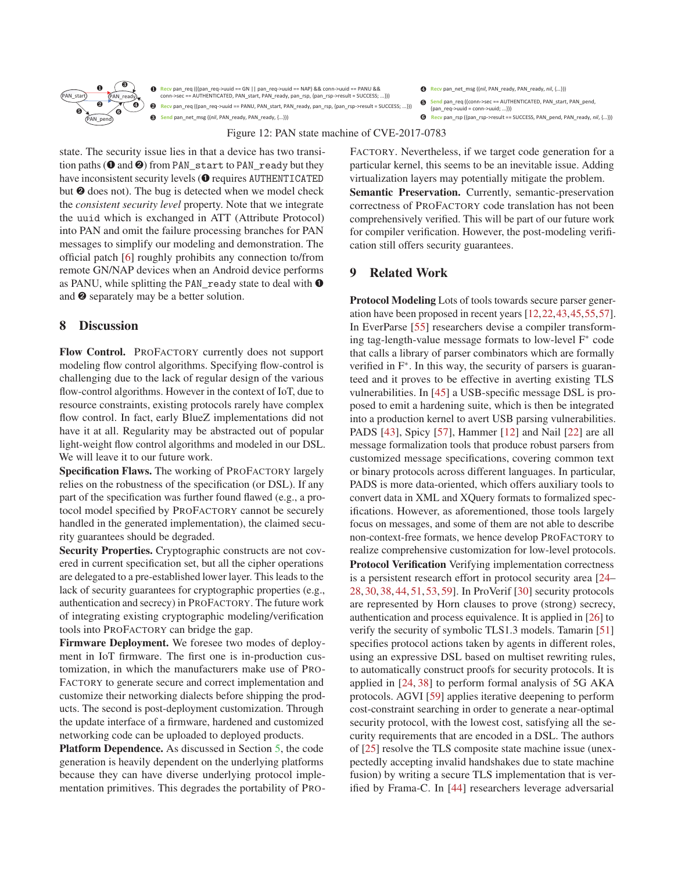

**Recv** pan\_req (((pan\_req->uuid == GN || pan\_req->uuid == NAP) && conn->uuid == PANU && conn->sec == AUTHENTICATED, PAN\_start, PAN\_ready, pan\_rsp, {pan\_rsp->result = SUCCESS; ...})) Recv pan\_req ((pan\_req->uuid == PANU, PAN\_start, PAN\_ready, pan\_rsp, {pan\_rsp->result = SUCCESS; ...})) **Send** pan\_net\_msg ((*nil*, PAN\_ready, PAN\_ready, {...}))

߀ **Recv** pan\_net\_msg ((*nil*, PAN\_ready, PAN\_ready, *nil*, {*...*}))

- Send pan\_req ((conn->sec == AUTHENTICATED, PAN\_start, PAN\_pend  ${pos$  req->uuid = conn->uuid; ...}))  $\odot$
- ߂ **Recv** pan\_rsp ((pan\_rsp->result == SUCCESS, PAN\_pend, PAN\_ready, *nil*, {*...*}))

Figure 12: PAN state machine of CVE-2017-0783

state. The security issue lies in that a device has two transition paths ( $\odot$  and  $\odot$ ) from PAN start to PAN ready but they have inconsistent security levels ( $\bullet$  requires AUTHENTICATED but ➋ does not). The bug is detected when we model check the *consistent security level* property. Note that we integrate the uuid which is exchanged in ATT (Attribute Protocol) into PAN and omit the failure processing branches for PAN messages to simplify our modeling and demonstration. The official patch [6] roughly prohibits any connection to/from remote GN/NAP devices when an Android device performs as PANU, while splitting the PAN\_ready state to deal with  $\bullet$ and ➋ separately may be a better solution.

## 8 Discussion

Flow Control. PROFACTORY currently does not support modeling flow control algorithms. Specifying flow-control is challenging due to the lack of regular design of the various flow-control algorithms. However in the context of IoT, due to resource constraints, existing protocols rarely have complex flow control. In fact, early BlueZ implementations did not have it at all. Regularity may be abstracted out of popular light-weight flow control algorithms and modeled in our DSL. We will leave it to our future work.

Specification Flaws. The working of PROFACTORY largely relies on the robustness of the specification (or DSL). If any part of the specification was further found flawed (e.g., a protocol model specified by PROFACTORY cannot be securely handled in the generated implementation), the claimed security guarantees should be degraded.

Security Properties. Cryptographic constructs are not covered in current specification set, but all the cipher operations are delegated to a pre-established lower layer. This leads to the lack of security guarantees for cryptographic properties (e.g., authentication and secrecy) in PROFACTORY. The future work of integrating existing cryptographic modeling/verification tools into PROFACTORY can bridge the gap.

Firmware Deployment. We foresee two modes of deployment in IoT firmware. The first one is in-production customization, in which the manufacturers make use of PRO-FACTORY to generate secure and correct implementation and customize their networking dialects before shipping the products. The second is post-deployment customization. Through the update interface of a firmware, hardened and customized networking code can be uploaded to deployed products.

Platform Dependence. As discussed in Section 5, the code generation is heavily dependent on the underlying platforms because they can have diverse underlying protocol implementation primitives. This degrades the portability of PRO- FACTORY. Nevertheless, if we target code generation for a particular kernel, this seems to be an inevitable issue. Adding virtualization layers may potentially mitigate the problem.

Semantic Preservation. Currently, semantic-preservation correctness of PROFACTORY code translation has not been comprehensively verified. This will be part of our future work for compiler verification. However, the post-modeling verification still offers security guarantees.

## 9 Related Work

Protocol Modeling Lots of tools towards secure parser generation have been proposed in recent years [12,22,43,45,55,57]. In EverParse [55] researchers devise a compiler transforming tag-length-value message formats to low-level F∗ code that calls a library of parser combinators which are formally verified in F∗. In this way, the security of parsers is guaranteed and it proves to be effective in averting existing TLS vulnerabilities. In [45] a USB-specific message DSL is proposed to emit a hardening suite, which is then be integrated into a production kernel to avert USB parsing vulnerabilities. PADS [43], Spicy [57], Hammer [12] and Nail [22] are all message formalization tools that produce robust parsers from customized message specifications, covering common text or binary protocols across different languages. In particular, PADS is more data-oriented, which offers auxiliary tools to convert data in XML and XQuery formats to formalized specifications. However, as aforementioned, those tools largely focus on messages, and some of them are not able to describe non-context-free formats, we hence develop PROFACTORY to realize comprehensive customization for low-level protocols. Protocol Verification Verifying implementation correctness is a persistent research effort in protocol security area [24– 28, 30, 38, 44, 51, 53, 59]. In ProVerif [30] security protocols are represented by Horn clauses to prove (strong) secrecy, authentication and process equivalence. It is applied in [26] to verify the security of symbolic TLS1.3 models. Tamarin [51] specifies protocol actions taken by agents in different roles, using an expressive DSL based on multiset rewriting rules, to automatically construct proofs for security protocols. It is applied in [24, 38] to perform formal analysis of 5G AKA protocols. AGVI [59] applies iterative deepening to perform cost-constraint searching in order to generate a near-optimal security protocol, with the lowest cost, satisfying all the security requirements that are encoded in a DSL. The authors of [25] resolve the TLS composite state machine issue (unexpectedly accepting invalid handshakes due to state machine fusion) by writing a secure TLS implementation that is verified by Frama-C. In [44] researchers leverage adversarial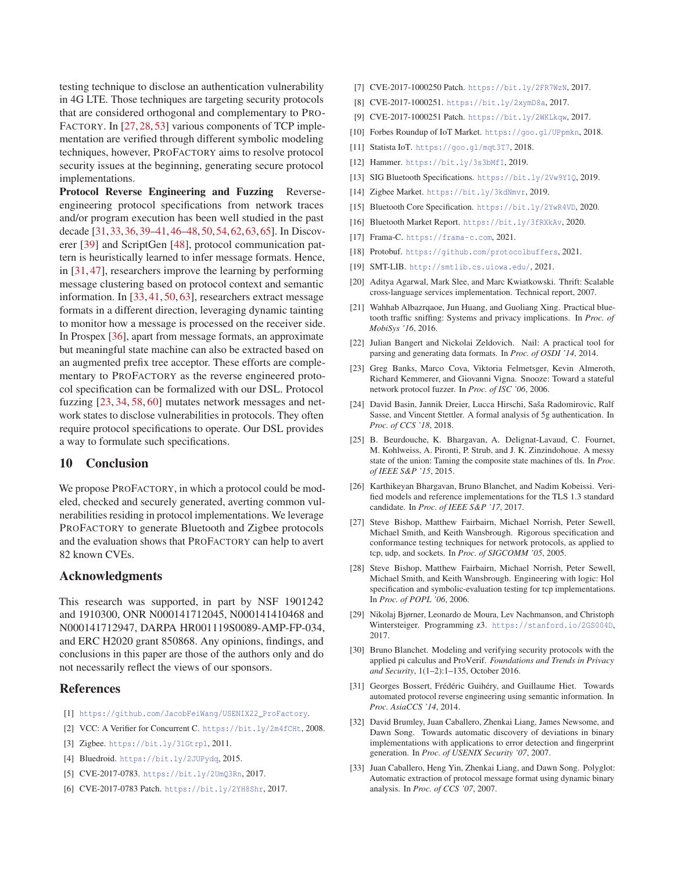testing technique to disclose an authentication vulnerability in 4G LTE. Those techniques are targeting security protocols that are considered orthogonal and complementary to PRO-FACTORY. In [27, 28, 53] various components of TCP implementation are verified through different symbolic modeling techniques, however, PROFACTORY aims to resolve protocol security issues at the beginning, generating secure protocol implementations.

Protocol Reverse Engineering and Fuzzing Reverseengineering protocol specifications from network traces and/or program execution has been well studied in the past decade [31,33,36,39–41,46–48,50,54,62,63,65]. In Discoverer [39] and ScriptGen [48], protocol communication pattern is heuristically learned to infer message formats. Hence, in [31, 47], researchers improve the learning by performing message clustering based on protocol context and semantic information. In [33, 41, 50, 63], researchers extract message formats in a different direction, leveraging dynamic tainting to monitor how a message is processed on the receiver side. In Prospex [36], apart from message formats, an approximate but meaningful state machine can also be extracted based on an augmented prefix tree acceptor. These efforts are complementary to PROFACTORY as the reverse engineered protocol specification can be formalized with our DSL. Protocol fuzzing [23, 34, 58, 60] mutates network messages and network states to disclose vulnerabilities in protocols. They often require protocol specifications to operate. Our DSL provides a way to formulate such specifications.

#### 10 Conclusion

We propose PROFACTORY, in which a protocol could be modeled, checked and securely generated, averting common vulnerabilities residing in protocol implementations. We leverage PROFACTORY to generate Bluetooth and Zigbee protocols and the evaluation shows that PROFACTORY can help to avert 82 known CVEs.

#### Acknowledgments

This research was supported, in part by NSF 1901242 and 1910300, ONR N000141712045, N000141410468 and N000141712947, DARPA HR001119S0089-AMP-FP-034, and ERC H2020 grant 850868. Any opinions, findings, and conclusions in this paper are those of the authors only and do not necessarily reflect the views of our sponsors.

#### References

- [1] https://github.com/JacobFeiWang/USENIX22\_ProFactory.
- [2] VCC: A Verifier for Concurrent C. https://bit.ly/2m4fCHt, 2008.
- [3] Zigbee. https://bit.ly/3lGtrp1, 2011.
- [4] Bluedroid. https://bit.ly/2JUPydq, 2015.
- [5] CVE-2017-0783. https://bit.ly/2UmQ3Rn, 2017.
- [6] CVE-2017-0783 Patch. https://bit.ly/2YH8Shr, 2017.
- [7] CVE-2017-1000250 Patch. https://bit.ly/2FR7WzN, 2017.
- [8] CVE-2017-1000251. https://bit.ly/2xymD8a, 2017.
- [9] CVE-2017-1000251 Patch. https://bit.ly/2WKLkqw, 2017.
- [10] Forbes Roundup of IoT Market. https://goo.gl/UPpmkn, 2018.
- [11] Statista IoT. https://goo.gl/mqt3T7, 2018.
- [12] Hammer. https://bit.ly/3s3bMfI, 2019.
- [13] SIG Bluetooth Specifications. https://bit.ly/2Vw9Y1Q, 2019.
- [14] Zigbee Market. https://bit.ly/3kdNmvr, 2019.
- [15] Bluetooth Core Specification. https://bit.ly/2YwR4VD, 2020.
- [16] Bluetooth Market Report. https://bit.ly/3fRXkAv, 2020.
- [17] Frama-C. https://frama-c.com, 2021.
- [18] Protobuf. https://github.com/protocolbuffers, 2021.
- [19] SMT-LIB. http://smtlib.cs.uiowa.edu/, 2021.
- [20] Aditya Agarwal, Mark Slee, and Marc Kwiatkowski. Thrift: Scalable cross-language services implementation. Technical report, 2007.
- [21] Wahhab Albazrqaoe, Jun Huang, and Guoliang Xing. Practical bluetooth traffic sniffing: Systems and privacy implications. In *Proc. of MobiSys '16*, 2016.
- [22] Julian Bangert and Nickolai Zeldovich. Nail: A practical tool for parsing and generating data formats. In *Proc. of OSDI '14*, 2014.
- [23] Greg Banks, Marco Cova, Viktoria Felmetsger, Kevin Almeroth, Richard Kemmerer, and Giovanni Vigna. Snooze: Toward a stateful network protocol fuzzer. In *Proc. of ISC '06*, 2006.
- [24] David Basin, Jannik Dreier, Lucca Hirschi, Saša Radomirovic, Ralf Sasse, and Vincent Stettler. A formal analysis of 5g authentication. In *Proc. of CCS '18*, 2018.
- [25] B. Beurdouche, K. Bhargavan, A. Delignat-Lavaud, C. Fournet, M. Kohlweiss, A. Pironti, P. Strub, and J. K. Zinzindohoue. A messy state of the union: Taming the composite state machines of tls. In *Proc. of IEEE S&P '15*, 2015.
- [26] Karthikeyan Bhargavan, Bruno Blanchet, and Nadim Kobeissi. Verified models and reference implementations for the TLS 1.3 standard candidate. In *Proc. of IEEE S&P '17*, 2017.
- [27] Steve Bishop, Matthew Fairbairn, Michael Norrish, Peter Sewell, Michael Smith, and Keith Wansbrough. Rigorous specification and conformance testing techniques for network protocols, as applied to tcp, udp, and sockets. In *Proc. of SIGCOMM '05*, 2005.
- [28] Steve Bishop, Matthew Fairbairn, Michael Norrish, Peter Sewell, Michael Smith, and Keith Wansbrough. Engineering with logic: Hol specification and symbolic-evaluation testing for tcp implementations. In *Proc. of POPL '06*, 2006.
- [29] Nikolaj Bjørner, Leonardo de Moura, Lev Nachmanson, and Christoph Wintersteiger. Programming z3. https://stanford.io/2GS004D, 2017.
- [30] Bruno Blanchet. Modeling and verifying security protocols with the applied pi calculus and ProVerif. *Foundations and Trends in Privacy and Security*, 1(1–2):1–135, October 2016.
- [31] Georges Bossert, Frédéric Guihéry, and Guillaume Hiet. Towards automated protocol reverse engineering using semantic information. In *Proc. AsiaCCS '14*, 2014.
- [32] David Brumley, Juan Caballero, Zhenkai Liang, James Newsome, and Dawn Song. Towards automatic discovery of deviations in binary implementations with applications to error detection and fingerprint generation. In *Proc. of USENIX Security '07*, 2007.
- [33] Juan Caballero, Heng Yin, Zhenkai Liang, and Dawn Song. Polyglot: Automatic extraction of protocol message format using dynamic binary analysis. In *Proc. of CCS '07*, 2007.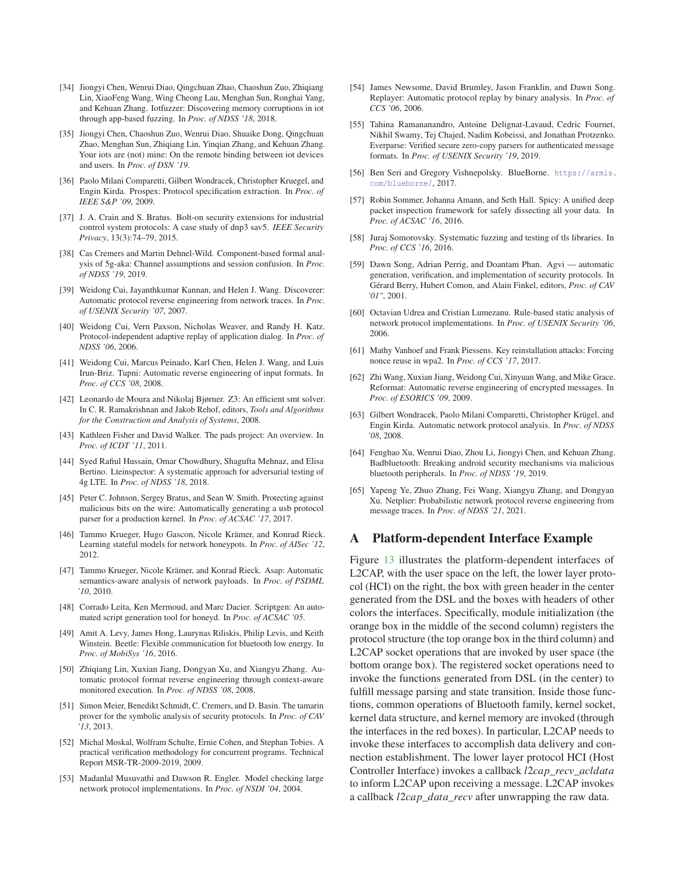- [34] Jiongyi Chen, Wenrui Diao, Qingchuan Zhao, Chaoshun Zuo, Zhiqiang Lin, XiaoFeng Wang, Wing Cheong Lau, Menghan Sun, Ronghai Yang, and Kehuan Zhang. Iotfuzzer: Discovering memory corruptions in iot through app-based fuzzing. In *Proc. of NDSS '18*, 2018.
- [35] Jiongyi Chen, Chaoshun Zuo, Wenrui Diao, Shuaike Dong, Qingchuan Zhao, Menghan Sun, Zhiqiang Lin, Yinqian Zhang, and Kehuan Zhang. Your iots are (not) mine: On the remote binding between iot devices and users. In *Proc. of DSN '19*.
- [36] Paolo Milani Comparetti, Gilbert Wondracek, Christopher Kruegel, and Engin Kirda. Prospex: Protocol specification extraction. In *Proc. of IEEE S&P '09*, 2009.
- [37] J. A. Crain and S. Bratus. Bolt-on security extensions for industrial control system protocols: A case study of dnp3 sav5. *IEEE Security Privacy*, 13(3):74–79, 2015.
- [38] Cas Cremers and Martin Dehnel-Wild. Component-based formal analysis of 5g-aka: Channel assumptions and session confusion. In *Proc. of NDSS '19*, 2019.
- [39] Weidong Cui, Jayanthkumar Kannan, and Helen J. Wang. Discoverer: Automatic protocol reverse engineering from network traces. In *Proc. of USENIX Security '07*, 2007.
- [40] Weidong Cui, Vern Paxson, Nicholas Weaver, and Randy H. Katz. Protocol-independent adaptive replay of application dialog. In *Proc. of NDSS '06*, 2006.
- [41] Weidong Cui, Marcus Peinado, Karl Chen, Helen J. Wang, and Luis Irun-Briz. Tupni: Automatic reverse engineering of input formats. In *Proc. of CCS '08*, 2008.
- [42] Leonardo de Moura and Nikolaj Bjørner. Z3: An efficient smt solver. In C. R. Ramakrishnan and Jakob Rehof, editors, *Tools and Algorithms for the Construction and Analysis of Systems*, 2008.
- [43] Kathleen Fisher and David Walker. The pads project: An overview. In *Proc. of ICDT '11*, 2011.
- [44] Syed Rafiul Hussain, Omar Chowdhury, Shagufta Mehnaz, and Elisa Bertino. Lteinspector: A systematic approach for adversarial testing of 4g LTE. In *Proc. of NDSS '18*, 2018.
- [45] Peter C. Johnson, Sergey Bratus, and Sean W. Smith. Protecting against malicious bits on the wire: Automatically generating a usb protocol parser for a production kernel. In *Proc. of ACSAC '17*, 2017.
- [46] Tammo Krueger, Hugo Gascon, Nicole Krämer, and Konrad Rieck. Learning stateful models for network honeypots. In *Proc. of AISec '12*, 2012.
- [47] Tammo Krueger, Nicole Krämer, and Konrad Rieck. Asap: Automatic semantics-aware analysis of network payloads. In *Proc. of PSDML '10*, 2010.
- [48] Corrado Leita, Ken Mermoud, and Marc Dacier. Scriptgen: An automated script generation tool for honeyd. In *Proc. of ACSAC '05*.
- [49] Amit A. Levy, James Hong, Laurynas Riliskis, Philip Levis, and Keith Winstein. Beetle: Flexible communication for bluetooth low energy. In *Proc. of MobiSys '16*, 2016.
- [50] Zhiqiang Lin, Xuxian Jiang, Dongyan Xu, and Xiangyu Zhang. Automatic protocol format reverse engineering through context-aware monitored execution. In *Proc. of NDSS '08*, 2008.
- [51] Simon Meier, Benedikt Schmidt, C. Cremers, and D. Basin. The tamarin prover for the symbolic analysis of security protocols. In *Proc. of CAV '13*, 2013.
- [52] Michal Moskal, Wolfram Schulte, Ernie Cohen, and Stephan Tobies. A practical verification methodology for concurrent programs. Technical Report MSR-TR-2009-2019, 2009.
- [53] Madanlal Musuvathi and Dawson R. Engler. Model checking large network protocol implementations. In *Proc. of NSDI '04*, 2004.
- [54] James Newsome, David Brumley, Jason Franklin, and Dawn Song. Replayer: Automatic protocol replay by binary analysis. In *Proc. of CCS '06*, 2006.
- [55] Tahina Ramananandro, Antoine Delignat-Lavaud, Cedric Fournet, Nikhil Swamy, Tej Chajed, Nadim Kobeissi, and Jonathan Protzenko. Everparse: Verified secure zero-copy parsers for authenticated message formats. In *Proc. of USENIX Security '19*, 2019.
- [56] Ben Seri and Gregory Vishnepolsky. BlueBorne. https://armis. com/blueborne/, 2017.
- [57] Robin Sommer, Johanna Amann, and Seth Hall. Spicy: A unified deep packet inspection framework for safely dissecting all your data. In *Proc. of ACSAC '16*, 2016.
- [58] Juraj Somorovsky. Systematic fuzzing and testing of tls libraries. In *Proc. of CCS '16*, 2016.
- [59] Dawn Song, Adrian Perrig, and Doantam Phan. Agvi automatic generation, verification, and implementation of security protocols. In Gérard Berry, Hubert Comon, and Alain Finkel, editors, *Proc. of CAV '01"*, 2001.
- [60] Octavian Udrea and Cristian Lumezanu. Rule-based static analysis of network protocol implementations. In *Proc. of USENIX Security '06*, 2006.
- [61] Mathy Vanhoef and Frank Piessens. Key reinstallation attacks: Forcing nonce reuse in wpa2. In *Proc. of CCS '17*, 2017.
- [62] Zhi Wang, Xuxian Jiang, Weidong Cui, Xinyuan Wang, and Mike Grace. Reformat: Automatic reverse engineering of encrypted messages. In *Proc. of ESORICS '09*, 2009.
- [63] Gilbert Wondracek, Paolo Milani Comparetti, Christopher Krügel, and Engin Kirda. Automatic network protocol analysis. In *Proc. of NDSS '08*, 2008.
- [64] Fenghao Xu, Wenrui Diao, Zhou Li, Jiongyi Chen, and Kehuan Zhang. Badbluetooth: Breaking android security mechanisms via malicious bluetooth peripherals. In *Proc. of NDSS '19*, 2019.
- [65] Yapeng Ye, Zhuo Zhang, Fei Wang, Xiangyu Zhang, and Dongyan Xu. Netplier: Probabilistic network protocol reverse engineering from message traces. In *Proc. of NDSS '21*, 2021.

#### A Platform-dependent Interface Example

Figure 13 illustrates the platform-dependent interfaces of L2CAP, with the user space on the left, the lower layer protocol (HCI) on the right, the box with green header in the center generated from the DSL and the boxes with headers of other colors the interfaces. Specifically, module initialization (the orange box in the middle of the second column) registers the protocol structure (the top orange box in the third column) and L2CAP socket operations that are invoked by user space (the bottom orange box). The registered socket operations need to invoke the functions generated from DSL (in the center) to fulfill message parsing and state transition. Inside those functions, common operations of Bluetooth family, kernel socket, kernel data structure, and kernel memory are invoked (through the interfaces in the red boxes). In particular, L2CAP needs to invoke these interfaces to accomplish data delivery and connection establishment. The lower layer protocol HCI (Host Controller Interface) invokes a callback *l*2*cap*\_*recv*\_*acldata* to inform L2CAP upon receiving a message. L2CAP invokes a callback *l*2*cap*\_*data*\_*recv* after unwrapping the raw data.